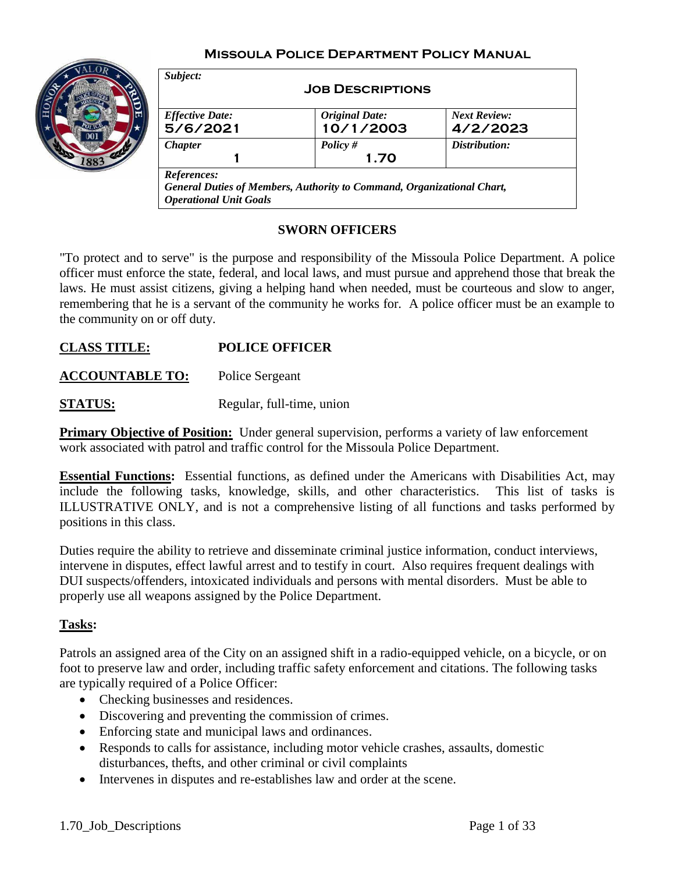## **Missoula Police Department Policy Manual**



|                        | <b>JOB DESCRIPTIONS</b> |                     |
|------------------------|-------------------------|---------------------|
| <b>Effective Date:</b> | <b>Original Date:</b>   | <b>Next Review:</b> |
| 5/6/2021               | 10/1/2003               | 4/2/2023            |
| <b>Chapter</b>         | Policy #                | Distribution:       |
|                        | 1.70                    |                     |

#### **SWORN OFFICERS**

"To protect and to serve" is the purpose and responsibility of the Missoula Police Department. A police officer must enforce the state, federal, and local laws, and must pursue and apprehend those that break the laws. He must assist citizens, giving a helping hand when needed, must be courteous and slow to anger, remembering that he is a servant of the community he works for. A police officer must be an example to the community on or off duty.

## **CLASS TITLE: POLICE OFFICER**

**ACCOUNTABLE TO:** Police Sergeant

**STATUS:** Regular, full-time, union

**Primary Objective of Position:** Under general supervision, performs a variety of law enforcement work associated with patrol and traffic control for the Missoula Police Department.

**Essential Functions:** Essential functions, as defined under the Americans with Disabilities Act, may include the following tasks, knowledge, skills, and other characteristics. This list of tasks is ILLUSTRATIVE ONLY, and is not a comprehensive listing of all functions and tasks performed by positions in this class.

Duties require the ability to retrieve and disseminate criminal justice information, conduct interviews, intervene in disputes, effect lawful arrest and to testify in court. Also requires frequent dealings with DUI suspects/offenders, intoxicated individuals and persons with mental disorders. Must be able to properly use all weapons assigned by the Police Department.

#### **Tasks:**

Patrols an assigned area of the City on an assigned shift in a radio-equipped vehicle, on a bicycle, or on foot to preserve law and order, including traffic safety enforcement and citations. The following tasks are typically required of a Police Officer:

- Checking businesses and residences.
- Discovering and preventing the commission of crimes.
- Enforcing state and municipal laws and ordinances.
- Responds to calls for assistance, including motor vehicle crashes, assaults, domestic disturbances, thefts, and other criminal or civil complaints
- Intervenes in disputes and re-establishes law and order at the scene.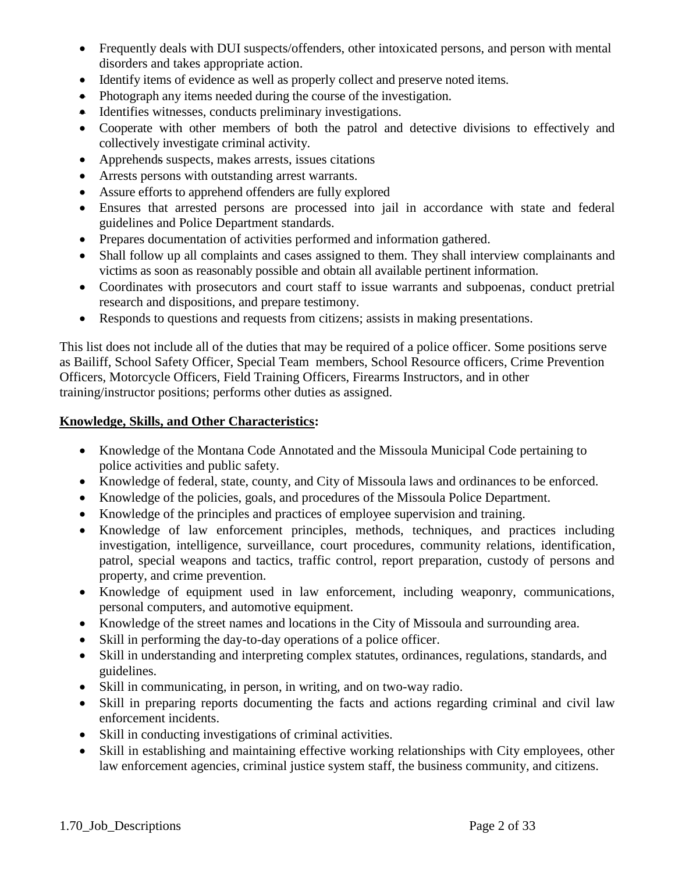- Frequently deals with DUI suspects/offenders, other intoxicated persons, and person with mental disorders and takes appropriate action.
- Identify items of evidence as well as properly collect and preserve noted items.
- Photograph any items needed during the course of the investigation.
- Identifies witnesses, conducts preliminary investigations.
- Cooperate with other members of both the patrol and detective divisions to effectively and collectively investigate criminal activity.
- Apprehends suspects, makes arrests, issues citations
- Arrests persons with outstanding arrest warrants.
- Assure efforts to apprehend offenders are fully explored
- Ensures that arrested persons are processed into jail in accordance with state and federal guidelines and Police Department standards.
- Prepares documentation of activities performed and information gathered.
- Shall follow up all complaints and cases assigned to them. They shall interview complainants and victims as soon as reasonably possible and obtain all available pertinent information.
- Coordinates with prosecutors and court staff to issue warrants and subpoenas, conduct pretrial research and dispositions, and prepare testimony.
- Responds to questions and requests from citizens; assists in making presentations.

This list does not include all of the duties that may be required of a police officer. Some positions serve as Bailiff, School Safety Officer, Special Team members, School Resource officers, Crime Prevention Officers, Motorcycle Officers, Field Training Officers, Firearms Instructors, and in other training/instructor positions; performs other duties as assigned.

## **Knowledge, Skills, and Other Characteristics:**

- Knowledge of the Montana Code Annotated and the Missoula Municipal Code pertaining to police activities and public safety.
- Knowledge of federal, state, county, and City of Missoula laws and ordinances to be enforced.
- Knowledge of the policies, goals, and procedures of the Missoula Police Department.
- Knowledge of the principles and practices of employee supervision and training.
- Knowledge of law enforcement principles, methods, techniques, and practices including investigation, intelligence, surveillance, court procedures, community relations, identification, patrol, special weapons and tactics, traffic control, report preparation, custody of persons and property, and crime prevention.
- Knowledge of equipment used in law enforcement, including weaponry, communications, personal computers, and automotive equipment.
- Knowledge of the street names and locations in the City of Missoula and surrounding area.
- Skill in performing the day-to-day operations of a police officer.
- Skill in understanding and interpreting complex statutes, ordinances, regulations, standards, and guidelines.
- Skill in communicating, in person, in writing, and on two-way radio.
- Skill in preparing reports documenting the facts and actions regarding criminal and civil law enforcement incidents.
- Skill in conducting investigations of criminal activities.
- Skill in establishing and maintaining effective working relationships with City employees, other law enforcement agencies, criminal justice system staff, the business community, and citizens.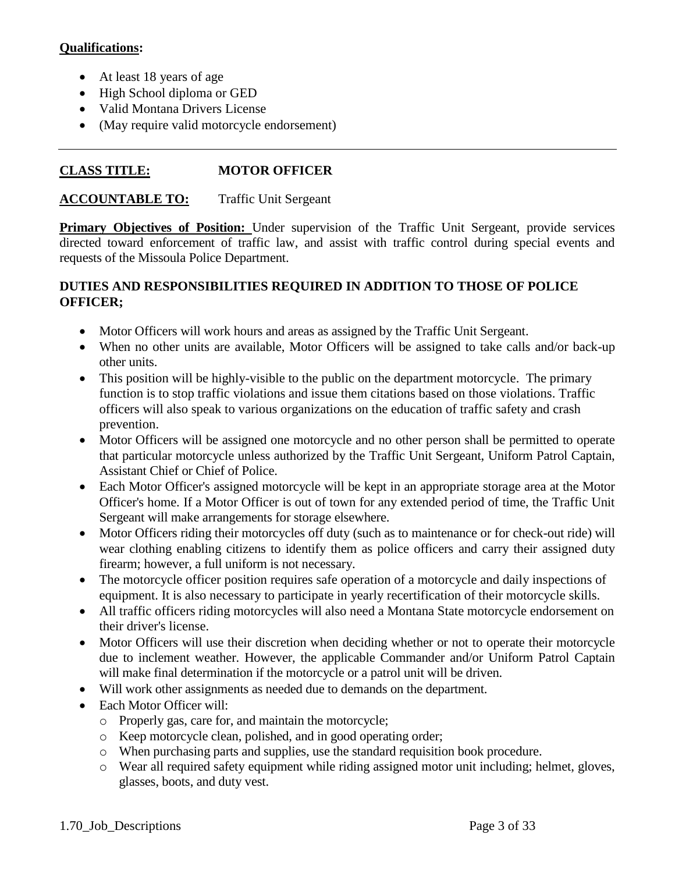## **Qualifications:**

- At least 18 years of age
- High School diploma or GED
- Valid Montana Drivers License
- (May require valid motorcycle endorsement)

# **CLASS TITLE: MOTOR OFFICER**

#### **ACCOUNTABLE TO:** Traffic Unit Sergeant

**Primary Objectives of Position:** Under supervision of the Traffic Unit Sergeant, provide services directed toward enforcement of traffic law, and assist with traffic control during special events and requests of the Missoula Police Department.

- Motor Officers will work hours and areas as assigned by the Traffic Unit Sergeant.
- When no other units are available, Motor Officers will be assigned to take calls and/or back-up other units.
- This position will be highly-visible to the public on the department motorcycle. The primary function is to stop traffic violations and issue them citations based on those violations. Traffic officers will also speak to various organizations on the education of traffic safety and crash prevention.
- Motor Officers will be assigned one motorcycle and no other person shall be permitted to operate that particular motorcycle unless authorized by the Traffic Unit Sergeant, Uniform Patrol Captain, Assistant Chief or Chief of Police.
- Each Motor Officer's assigned motorcycle will be kept in an appropriate storage area at the Motor Officer's home. If a Motor Officer is out of town for any extended period of time, the Traffic Unit Sergeant will make arrangements for storage elsewhere.
- Motor Officers riding their motorcycles off duty (such as to maintenance or for check-out ride) will wear clothing enabling citizens to identify them as police officers and carry their assigned duty firearm; however, a full uniform is not necessary.
- The motorcycle officer position requires safe operation of a motorcycle and daily inspections of equipment. It is also necessary to participate in yearly recertification of their motorcycle skills.
- All traffic officers riding motorcycles will also need a Montana State motorcycle endorsement on their driver's license.
- Motor Officers will use their discretion when deciding whether or not to operate their motorcycle due to inclement weather. However, the applicable Commander and/or Uniform Patrol Captain will make final determination if the motorcycle or a patrol unit will be driven.
- Will work other assignments as needed due to demands on the department.
- Each Motor Officer will:
	- o Properly gas, care for, and maintain the motorcycle;
	- o Keep motorcycle clean, polished, and in good operating order;
	- o When purchasing parts and supplies, use the standard requisition book procedure.
	- o Wear all required safety equipment while riding assigned motor unit including; helmet, gloves, glasses, boots, and duty vest.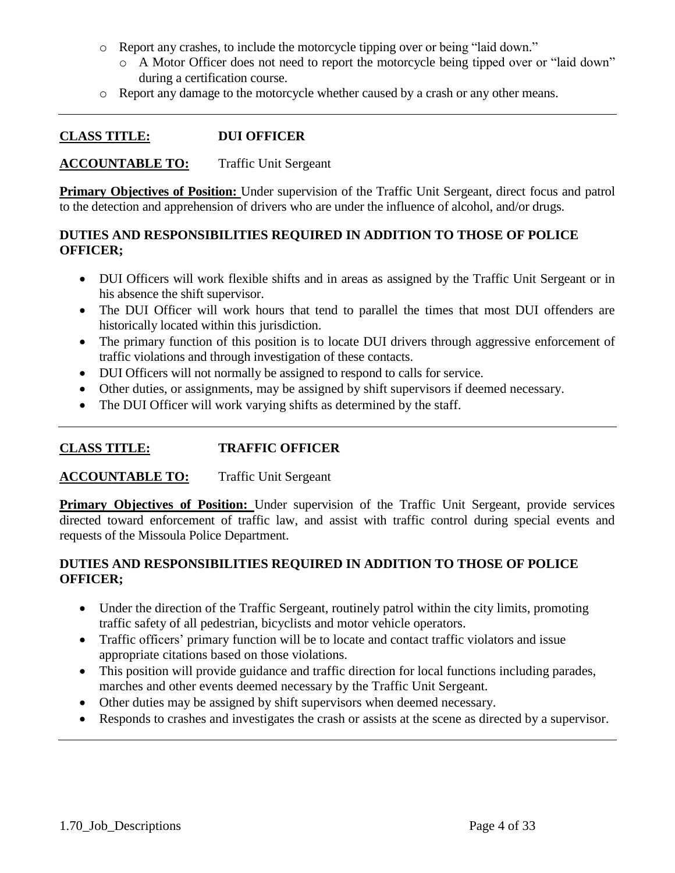- o Report any crashes, to include the motorcycle tipping over or being "laid down."
	- o A Motor Officer does not need to report the motorcycle being tipped over or "laid down" during a certification course.
- o Report any damage to the motorcycle whether caused by a crash or any other means.

## **CLASS TITLE: DUI OFFICER**

#### **ACCOUNTABLE TO:** Traffic Unit Sergeant

**Primary Objectives of Position:** Under supervision of the Traffic Unit Sergeant, direct focus and patrol to the detection and apprehension of drivers who are under the influence of alcohol, and/or drugs.

## **DUTIES AND RESPONSIBILITIES REQUIRED IN ADDITION TO THOSE OF POLICE OFFICER;**

- DUI Officers will work flexible shifts and in areas as assigned by the Traffic Unit Sergeant or in his absence the shift supervisor.
- The DUI Officer will work hours that tend to parallel the times that most DUI offenders are historically located within this jurisdiction.
- The primary function of this position is to locate DUI drivers through aggressive enforcement of traffic violations and through investigation of these contacts.
- DUI Officers will not normally be assigned to respond to calls for service.
- Other duties, or assignments, may be assigned by shift supervisors if deemed necessary.
- The DUI Officer will work varying shifts as determined by the staff.

## **CLASS TITLE: TRAFFIC OFFICER**

#### **ACCOUNTABLE TO:** Traffic Unit Sergeant

**Primary Objectives of Position:** Under supervision of the Traffic Unit Sergeant, provide services directed toward enforcement of traffic law, and assist with traffic control during special events and requests of the Missoula Police Department.

- Under the direction of the Traffic Sergeant, routinely patrol within the city limits, promoting traffic safety of all pedestrian, bicyclists and motor vehicle operators.
- Traffic officers' primary function will be to locate and contact traffic violators and issue appropriate citations based on those violations.
- This position will provide guidance and traffic direction for local functions including parades, marches and other events deemed necessary by the Traffic Unit Sergeant.
- Other duties may be assigned by shift supervisors when deemed necessary.
- Responds to crashes and investigates the crash or assists at the scene as directed by a supervisor.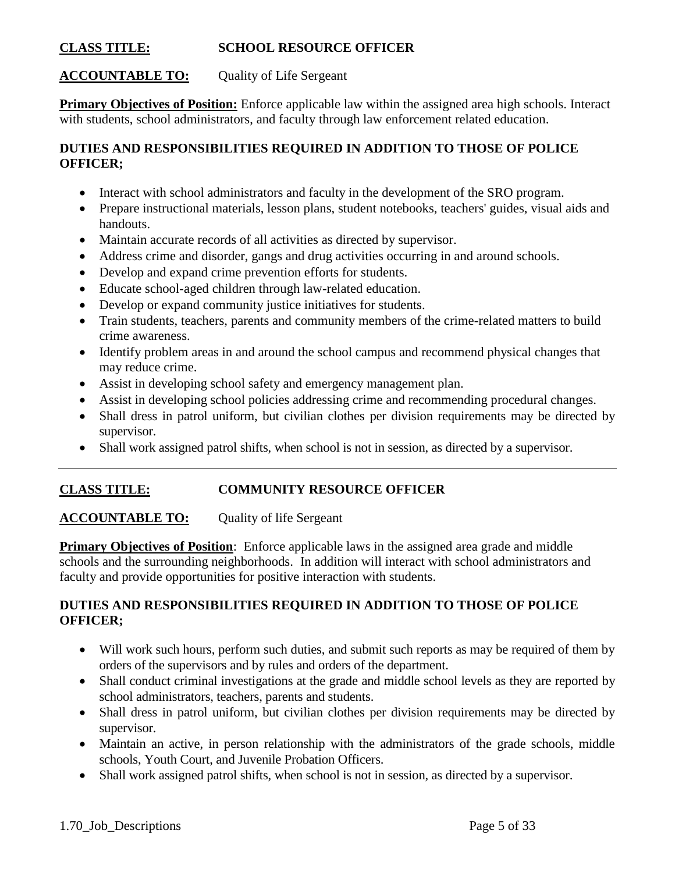### **CLASS TITLE: SCHOOL RESOURCE OFFICER**

## **ACCOUNTABLE TO:** Quality of Life Sergeant

**Primary Objectives of Position:** Enforce applicable law within the assigned area high schools. Interact with students, school administrators, and faculty through law enforcement related education.

## **DUTIES AND RESPONSIBILITIES REQUIRED IN ADDITION TO THOSE OF POLICE OFFICER;**

- Interact with school administrators and faculty in the development of the SRO program.
- Prepare instructional materials, lesson plans, student notebooks, teachers' guides, visual aids and handouts.
- Maintain accurate records of all activities as directed by supervisor.
- Address crime and disorder, gangs and drug activities occurring in and around schools.
- Develop and expand crime prevention efforts for students.
- Educate school-aged children through law-related education.
- Develop or expand community justice initiatives for students.
- Train students, teachers, parents and community members of the crime-related matters to build crime awareness.
- Identify problem areas in and around the school campus and recommend physical changes that may reduce crime.
- Assist in developing school safety and emergency management plan.
- Assist in developing school policies addressing crime and recommending procedural changes.
- Shall dress in patrol uniform, but civilian clothes per division requirements may be directed by supervisor.
- Shall work assigned patrol shifts, when school is not in session, as directed by a supervisor.

## **CLASS TITLE: COMMUNITY RESOURCE OFFICER**

## **ACCOUNTABLE TO:** Quality of life Sergeant

**Primary Objectives of Position:** Enforce applicable laws in the assigned area grade and middle schools and the surrounding neighborhoods. In addition will interact with school administrators and faculty and provide opportunities for positive interaction with students.

- Will work such hours, perform such duties, and submit such reports as may be required of them by orders of the supervisors and by rules and orders of the department.
- Shall conduct criminal investigations at the grade and middle school levels as they are reported by school administrators, teachers, parents and students.
- Shall dress in patrol uniform, but civilian clothes per division requirements may be directed by supervisor.
- Maintain an active, in person relationship with the administrators of the grade schools, middle schools, Youth Court, and Juvenile Probation Officers.
- Shall work assigned patrol shifts, when school is not in session, as directed by a supervisor.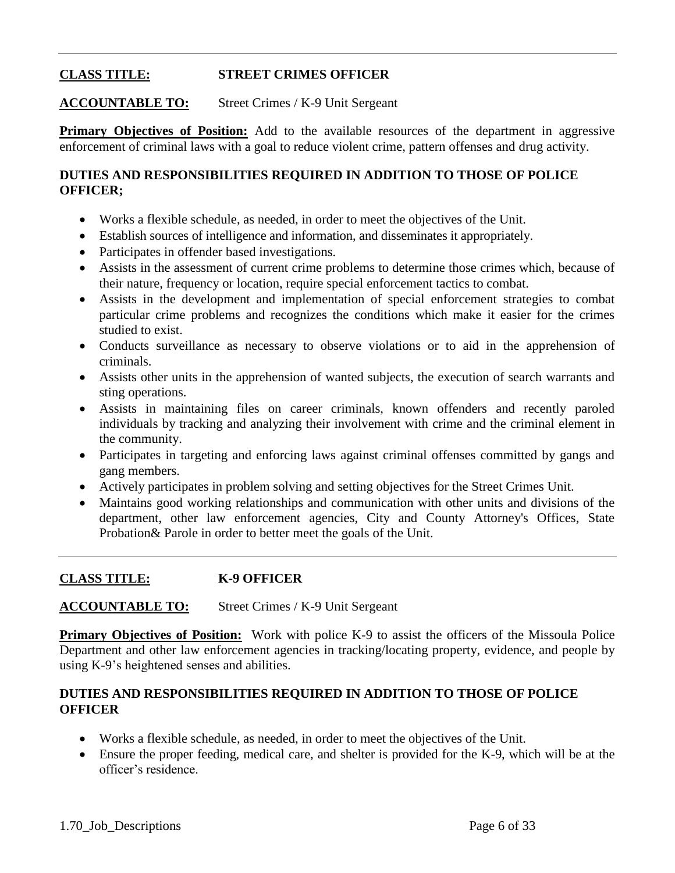# **CLASS TITLE: STREET CRIMES OFFICER**

## **ACCOUNTABLE TO:** Street Crimes / K-9 Unit Sergeant

**Primary Objectives of Position:** Add to the available resources of the department in aggressive enforcement of criminal laws with a goal to reduce violent crime, pattern offenses and drug activity.

## **DUTIES AND RESPONSIBILITIES REQUIRED IN ADDITION TO THOSE OF POLICE OFFICER;**

- Works a flexible schedule, as needed, in order to meet the objectives of the Unit.
- Establish sources of intelligence and information, and disseminates it appropriately.
- Participates in offender based investigations.
- Assists in the assessment of current crime problems to determine those crimes which, because of their nature, frequency or location, require special enforcement tactics to combat.
- Assists in the development and implementation of special enforcement strategies to combat particular crime problems and recognizes the conditions which make it easier for the crimes studied to exist.
- Conducts surveillance as necessary to observe violations or to aid in the apprehension of criminals.
- Assists other units in the apprehension of wanted subjects, the execution of search warrants and sting operations.
- Assists in maintaining files on career criminals, known offenders and recently paroled individuals by tracking and analyzing their involvement with crime and the criminal element in the community.
- Participates in targeting and enforcing laws against criminal offenses committed by gangs and gang members.
- Actively participates in problem solving and setting objectives for the Street Crimes Unit.
- Maintains good working relationships and communication with other units and divisions of the department, other law enforcement agencies, City and County Attorney's Offices, State Probation& Parole in order to better meet the goals of the Unit.

#### **CLASS TITLE: K-9 OFFICER**

#### **ACCOUNTABLE TO:** Street Crimes / K-9 Unit Sergeant

**Primary Objectives of Position:** Work with police K-9 to assist the officers of the Missoula Police Department and other law enforcement agencies in tracking/locating property, evidence, and people by using K-9's heightened senses and abilities.

- Works a flexible schedule, as needed, in order to meet the objectives of the Unit.
- Ensure the proper feeding, medical care, and shelter is provided for the K-9, which will be at the officer's residence.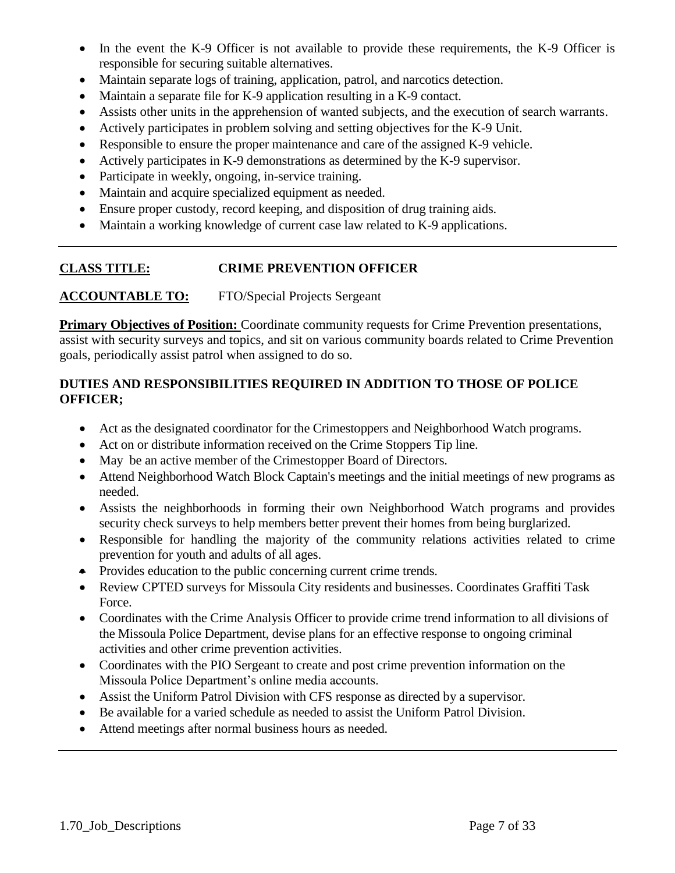- In the event the K-9 Officer is not available to provide these requirements, the K-9 Officer is responsible for securing suitable alternatives.
- Maintain separate logs of training, application, patrol, and narcotics detection.
- Maintain a separate file for K-9 application resulting in a K-9 contact.
- Assists other units in the apprehension of wanted subjects, and the execution of search warrants.
- Actively participates in problem solving and setting objectives for the K-9 Unit.
- Responsible to ensure the proper maintenance and care of the assigned K-9 vehicle.
- Actively participates in K-9 demonstrations as determined by the K-9 supervisor.
- Participate in weekly, ongoing, in-service training.
- Maintain and acquire specialized equipment as needed.
- Ensure proper custody, record keeping, and disposition of drug training aids.
- Maintain a working knowledge of current case law related to K-9 applications.

## **CLASS TITLE: CRIME PREVENTION OFFICER**

**ACCOUNTABLE TO:** FTO/Special Projects Sergeant

**Primary Objectives of Position:** Coordinate community requests for Crime Prevention presentations, assist with security surveys and topics, and sit on various community boards related to Crime Prevention goals, periodically assist patrol when assigned to do so.

- Act as the designated coordinator for the Crimestoppers and Neighborhood Watch programs.
- Act on or distribute information received on the Crime Stoppers Tip line.
- May be an active member of the Crimestopper Board of Directors.
- Attend Neighborhood Watch Block Captain's meetings and the initial meetings of new programs as needed.
- Assists the neighborhoods in forming their own Neighborhood Watch programs and provides security check surveys to help members better prevent their homes from being burglarized.
- Responsible for handling the majority of the community relations activities related to crime prevention for youth and adults of all ages.
- Provides education to the public concerning current crime trends.
- Review CPTED surveys for Missoula City residents and businesses. Coordinates Graffiti Task Force.
- Coordinates with the Crime Analysis Officer to provide crime trend information to all divisions of the Missoula Police Department, devise plans for an effective response to ongoing criminal activities and other crime prevention activities.
- Coordinates with the PIO Sergeant to create and post crime prevention information on the Missoula Police Department's online media accounts.
- Assist the Uniform Patrol Division with CFS response as directed by a supervisor.
- Be available for a varied schedule as needed to assist the Uniform Patrol Division.
- Attend meetings after normal business hours as needed.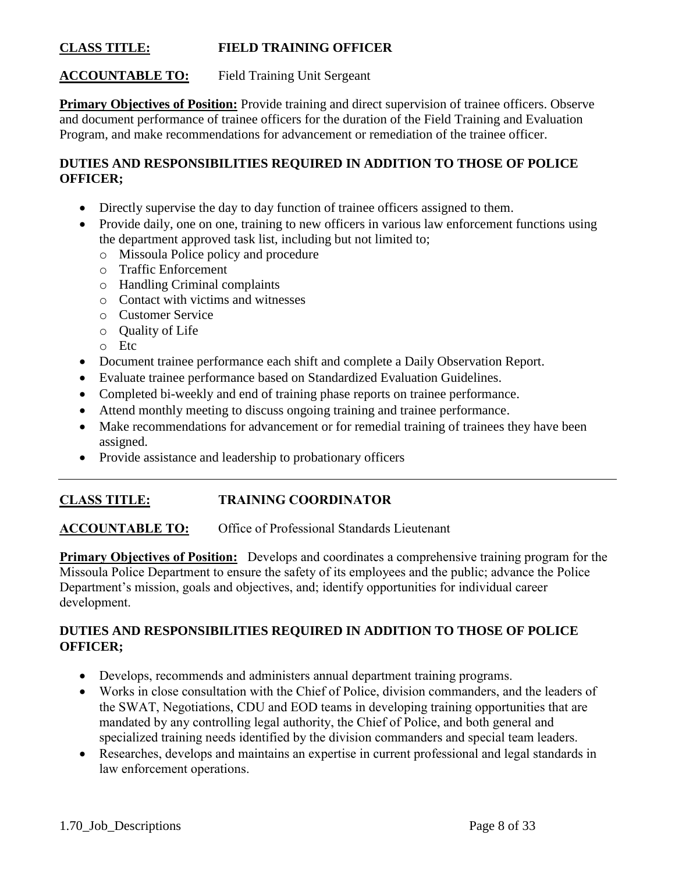### **CLASS TITLE: FIELD TRAINING OFFICER**

## **ACCOUNTABLE TO:** Field Training Unit Sergeant

**Primary Objectives of Position:** Provide training and direct supervision of trainee officers. Observe and document performance of trainee officers for the duration of the Field Training and Evaluation Program, and make recommendations for advancement or remediation of the trainee officer.

## **DUTIES AND RESPONSIBILITIES REQUIRED IN ADDITION TO THOSE OF POLICE OFFICER;**

- Directly supervise the day to day function of trainee officers assigned to them.
- Provide daily, one on one, training to new officers in various law enforcement functions using the department approved task list, including but not limited to;
	- o Missoula Police policy and procedure
	- o Traffic Enforcement
	- o Handling Criminal complaints
	- o Contact with victims and witnesses
	- o Customer Service
	- o Quality of Life
	- o Etc
- Document trainee performance each shift and complete a Daily Observation Report.
- Evaluate trainee performance based on Standardized Evaluation Guidelines.
- Completed bi-weekly and end of training phase reports on trainee performance.
- Attend monthly meeting to discuss ongoing training and trainee performance.
- Make recommendations for advancement or for remedial training of trainees they have been assigned.
- Provide assistance and leadership to probationary officers

#### **CLASS TITLE: TRAINING COORDINATOR**

#### **ACCOUNTABLE TO:** Office of Professional Standards Lieutenant

**Primary Objectives of Position:** Develops and coordinates a comprehensive training program for the Missoula Police Department to ensure the safety of its employees and the public; advance the Police Department's mission, goals and objectives, and; identify opportunities for individual career development.

- Develops, recommends and administers annual department training programs.
- Works in close consultation with the Chief of Police, division commanders, and the leaders of the SWAT, Negotiations, CDU and EOD teams in developing training opportunities that are mandated by any controlling legal authority, the Chief of Police, and both general and specialized training needs identified by the division commanders and special team leaders.
- Researches, develops and maintains an expertise in current professional and legal standards in law enforcement operations.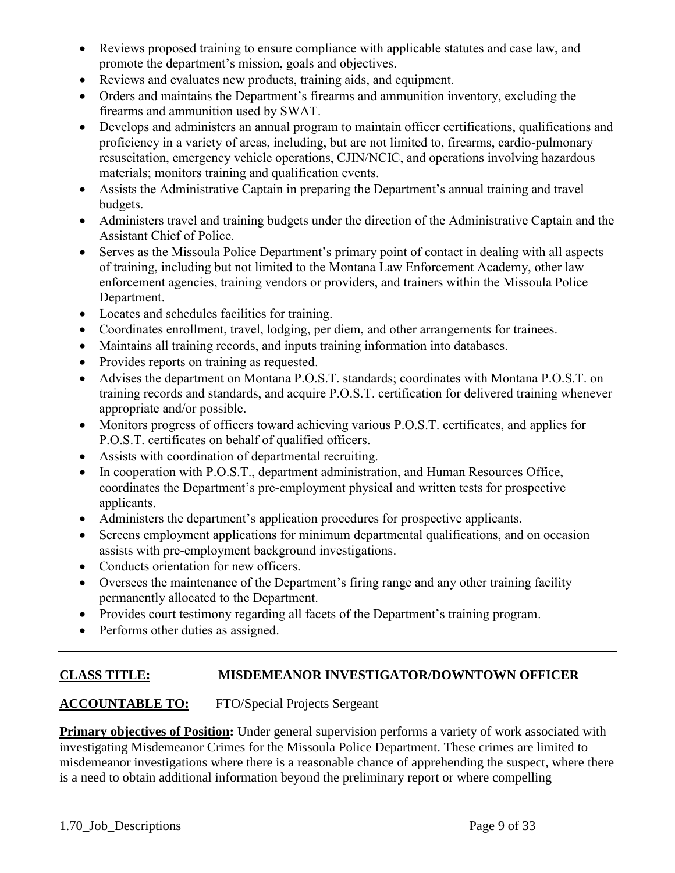- Reviews proposed training to ensure compliance with applicable statutes and case law, and promote the department's mission, goals and objectives.
- Reviews and evaluates new products, training aids, and equipment.
- Orders and maintains the Department's firearms and ammunition inventory, excluding the firearms and ammunition used by SWAT.
- Develops and administers an annual program to maintain officer certifications, qualifications and proficiency in a variety of areas, including, but are not limited to, firearms, cardio-pulmonary resuscitation, emergency vehicle operations, CJIN/NCIC, and operations involving hazardous materials; monitors training and qualification events.
- Assists the Administrative Captain in preparing the Department's annual training and travel budgets.
- Administers travel and training budgets under the direction of the Administrative Captain and the Assistant Chief of Police.
- Serves as the Missoula Police Department's primary point of contact in dealing with all aspects of training, including but not limited to the Montana Law Enforcement Academy, other law enforcement agencies, training vendors or providers, and trainers within the Missoula Police Department.
- Locates and schedules facilities for training.
- Coordinates enrollment, travel, lodging, per diem, and other arrangements for trainees.
- Maintains all training records, and inputs training information into databases.
- Provides reports on training as requested.
- Advises the department on Montana P.O.S.T. standards; coordinates with Montana P.O.S.T. on training records and standards, and acquire P.O.S.T. certification for delivered training whenever appropriate and/or possible.
- Monitors progress of officers toward achieving various P.O.S.T. certificates, and applies for P.O.S.T. certificates on behalf of qualified officers.
- Assists with coordination of departmental recruiting.
- In cooperation with P.O.S.T., department administration, and Human Resources Office, coordinates the Department's pre-employment physical and written tests for prospective applicants.
- Administers the department's application procedures for prospective applicants.
- Screens employment applications for minimum departmental qualifications, and on occasion assists with pre-employment background investigations.
- Conducts orientation for new officers.
- Oversees the maintenance of the Department's firing range and any other training facility permanently allocated to the Department.
- Provides court testimony regarding all facets of the Department's training program.
- Performs other duties as assigned.

## **CLASS TITLE: MISDEMEANOR INVESTIGATOR/DOWNTOWN OFFICER**

## **ACCOUNTABLE TO:** FTO/Special Projects Sergeant

**Primary objectives of Position:** Under general supervision performs a variety of work associated with investigating Misdemeanor Crimes for the Missoula Police Department. These crimes are limited to misdemeanor investigations where there is a reasonable chance of apprehending the suspect, where there is a need to obtain additional information beyond the preliminary report or where compelling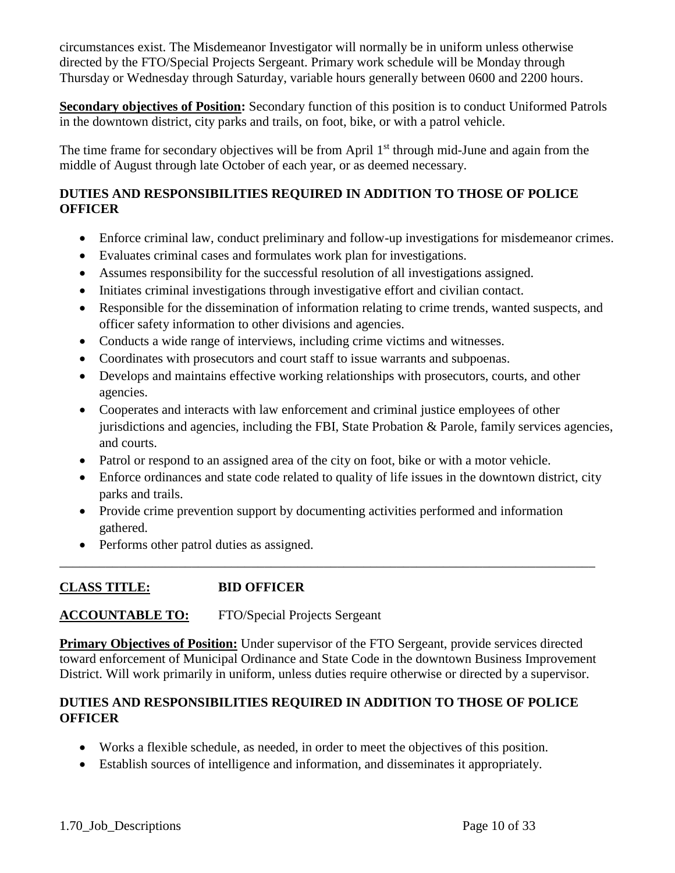circumstances exist. The Misdemeanor Investigator will normally be in uniform unless otherwise directed by the FTO/Special Projects Sergeant. Primary work schedule will be Monday through Thursday or Wednesday through Saturday, variable hours generally between 0600 and 2200 hours.

**Secondary objectives of Position:** Secondary function of this position is to conduct Uniformed Patrols in the downtown district, city parks and trails, on foot, bike, or with a patrol vehicle.

The time frame for secondary objectives will be from April 1<sup>st</sup> through mid-June and again from the middle of August through late October of each year, or as deemed necessary.

## **DUTIES AND RESPONSIBILITIES REQUIRED IN ADDITION TO THOSE OF POLICE OFFICER**

- Enforce criminal law, conduct preliminary and follow-up investigations for misdemeanor crimes.
- Evaluates criminal cases and formulates work plan for investigations.
- Assumes responsibility for the successful resolution of all investigations assigned.
- Initiates criminal investigations through investigative effort and civilian contact.
- Responsible for the dissemination of information relating to crime trends, wanted suspects, and officer safety information to other divisions and agencies.
- Conducts a wide range of interviews, including crime victims and witnesses.
- Coordinates with prosecutors and court staff to issue warrants and subpoenas.
- Develops and maintains effective working relationships with prosecutors, courts, and other agencies.
- Cooperates and interacts with law enforcement and criminal justice employees of other jurisdictions and agencies, including the FBI, State Probation & Parole, family services agencies, and courts.
- Patrol or respond to an assigned area of the city on foot, bike or with a motor vehicle.
- Enforce ordinances and state code related to quality of life issues in the downtown district, city parks and trails.
- Provide crime prevention support by documenting activities performed and information gathered.

\_\_\_\_\_\_\_\_\_\_\_\_\_\_\_\_\_\_\_\_\_\_\_\_\_\_\_\_\_\_\_\_\_\_\_\_\_\_\_\_\_\_\_\_\_\_\_\_\_\_\_\_\_\_\_\_\_\_\_\_\_\_\_\_\_\_\_\_\_\_\_\_\_\_\_\_\_\_\_\_\_

• Performs other patrol duties as assigned.

## **CLASS TITLE: BID OFFICER**

## **ACCOUNTABLE TO:** FTO/Special Projects Sergeant

**Primary Objectives of Position:** Under supervisor of the FTO Sergeant, provide services directed toward enforcement of Municipal Ordinance and State Code in the downtown Business Improvement District. Will work primarily in uniform, unless duties require otherwise or directed by a supervisor.

- Works a flexible schedule, as needed, in order to meet the objectives of this position.
- Establish sources of intelligence and information, and disseminates it appropriately.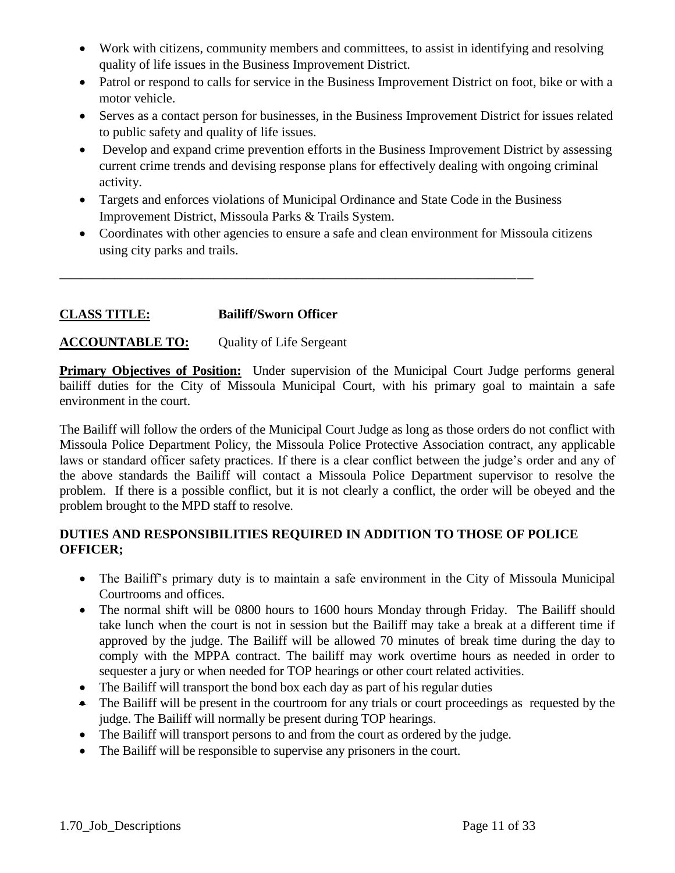- Work with citizens, community members and committees, to assist in identifying and resolving quality of life issues in the Business Improvement District.
- Patrol or respond to calls for service in the Business Improvement District on foot, bike or with a motor vehicle.
- Serves as a contact person for businesses, in the Business Improvement District for issues related to public safety and quality of life issues.
- Develop and expand crime prevention efforts in the Business Improvement District by assessing current crime trends and devising response plans for effectively dealing with ongoing criminal activity.
- Targets and enforces violations of Municipal Ordinance and State Code in the Business Improvement District, Missoula Parks & Trails System.

**\_\_\_\_\_\_\_\_\_\_\_\_\_\_\_\_\_\_\_\_\_\_\_\_\_\_\_\_\_\_\_\_\_\_\_\_\_\_\_\_\_\_\_\_\_\_\_\_\_\_\_\_\_\_\_\_\_\_\_\_\_\_\_\_\_\_\_\_\_\_\_\_\_\_\_\_\_\_\_\_\_\_\_\_\_\_**

 Coordinates with other agencies to ensure a safe and clean environment for Missoula citizens using city parks and trails.

## **CLASS TITLE: Bailiff/Sworn Officer**

## **ACCOUNTABLE TO:** Quality of Life Sergeant

**Primary Objectives of Position:** Under supervision of the Municipal Court Judge performs general bailiff duties for the City of Missoula Municipal Court, with his primary goal to maintain a safe environment in the court.

The Bailiff will follow the orders of the Municipal Court Judge as long as those orders do not conflict with Missoula Police Department Policy, the Missoula Police Protective Association contract, any applicable laws or standard officer safety practices. If there is a clear conflict between the judge's order and any of the above standards the Bailiff will contact a Missoula Police Department supervisor to resolve the problem. If there is a possible conflict, but it is not clearly a conflict, the order will be obeyed and the problem brought to the MPD staff to resolve.

- The Bailiff's primary duty is to maintain a safe environment in the City of Missoula Municipal Courtrooms and offices.
- The normal shift will be 0800 hours to 1600 hours Monday through Friday. The Bailiff should take lunch when the court is not in session but the Bailiff may take a break at a different time if approved by the judge. The Bailiff will be allowed 70 minutes of break time during the day to comply with the MPPA contract. The bailiff may work overtime hours as needed in order to sequester a jury or when needed for TOP hearings or other court related activities.
- The Bailiff will transport the bond box each day as part of his regular duties
- The Bailiff will be present in the courtroom for any trials or court proceedings as requested by the judge. The Bailiff will normally be present during TOP hearings.
- The Bailiff will transport persons to and from the court as ordered by the judge.
- The Bailiff will be responsible to supervise any prisoners in the court.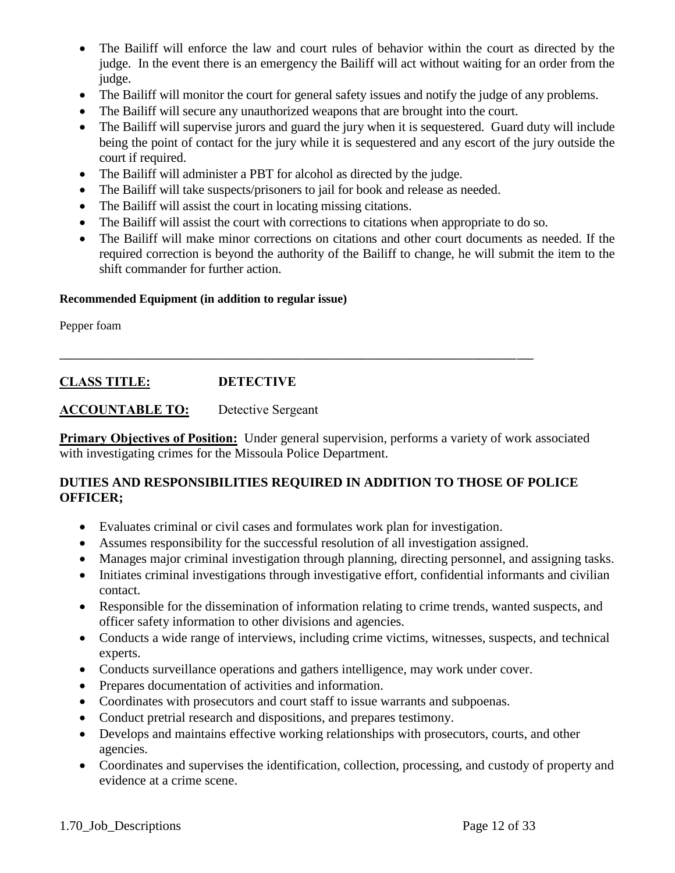- The Bailiff will enforce the law and court rules of behavior within the court as directed by the judge. In the event there is an emergency the Bailiff will act without waiting for an order from the judge.
- The Bailiff will monitor the court for general safety issues and notify the judge of any problems.
- The Bailiff will secure any unauthorized weapons that are brought into the court.
- The Bailiff will supervise jurors and guard the jury when it is sequestered. Guard duty will include being the point of contact for the jury while it is sequestered and any escort of the jury outside the court if required.
- The Bailiff will administer a PBT for alcohol as directed by the judge.
- The Bailiff will take suspects/prisoners to jail for book and release as needed.

**\_\_\_\_\_\_\_\_\_\_\_\_\_\_\_\_\_\_\_\_\_\_\_\_\_\_\_\_\_\_\_\_\_\_\_\_\_\_\_\_\_\_\_\_\_\_\_\_\_\_\_\_\_\_\_\_\_\_\_\_\_\_\_\_\_\_\_\_\_\_\_\_\_\_\_\_\_\_\_\_\_\_\_\_\_\_**

- The Bailiff will assist the court in locating missing citations.
- The Bailiff will assist the court with corrections to citations when appropriate to do so.
- The Bailiff will make minor corrections on citations and other court documents as needed. If the required correction is beyond the authority of the Bailiff to change, he will submit the item to the shift commander for further action.

#### **Recommended Equipment (in addition to regular issue)**

Pepper foam

## **CLASS TITLE: DETECTIVE**

#### **ACCOUNTABLE TO:** Detective Sergeant

**Primary Objectives of Position:** Under general supervision, performs a variety of work associated with investigating crimes for the Missoula Police Department.

- Evaluates criminal or civil cases and formulates work plan for investigation.
- Assumes responsibility for the successful resolution of all investigation assigned.
- Manages major criminal investigation through planning, directing personnel, and assigning tasks.
- Initiates criminal investigations through investigative effort, confidential informants and civilian contact.
- Responsible for the dissemination of information relating to crime trends, wanted suspects, and officer safety information to other divisions and agencies.
- Conducts a wide range of interviews, including crime victims, witnesses, suspects, and technical experts.
- Conducts surveillance operations and gathers intelligence, may work under cover.
- Prepares documentation of activities and information.
- Coordinates with prosecutors and court staff to issue warrants and subpoenas.
- Conduct pretrial research and dispositions, and prepares testimony.
- Develops and maintains effective working relationships with prosecutors, courts, and other agencies.
- Coordinates and supervises the identification, collection, processing, and custody of property and evidence at a crime scene.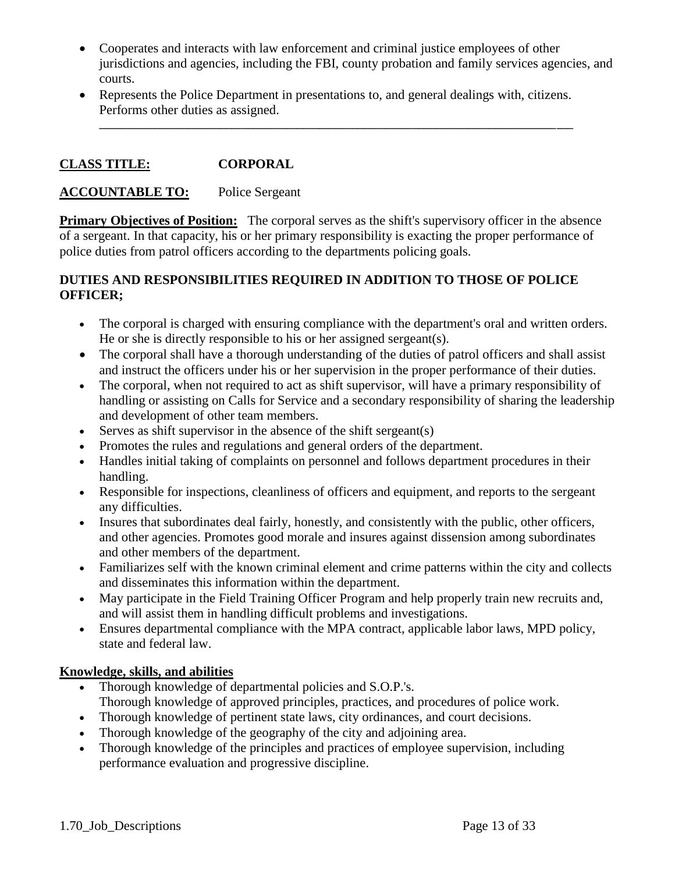- Cooperates and interacts with law enforcement and criminal justice employees of other jurisdictions and agencies, including the FBI, county probation and family services agencies, and courts.
- Represents the Police Department in presentations to, and general dealings with, citizens. Performs other duties as assigned.

**\_\_\_\_\_\_\_\_\_\_\_\_\_\_\_\_\_\_\_\_\_\_\_\_\_\_\_\_\_\_\_\_\_\_\_\_\_\_\_\_\_\_\_\_\_\_\_\_\_\_\_\_\_\_\_\_\_\_\_\_\_\_\_\_\_\_\_\_\_\_\_\_\_\_\_\_\_\_\_\_\_\_\_\_\_\_**

## **CLASS TITLE: CORPORAL**

### **ACCOUNTABLE TO:** Police Sergeant

**Primary Objectives of Position:** The corporal serves as the shift's supervisory officer in the absence of a sergeant. In that capacity, his or her primary responsibility is exacting the proper performance of police duties from patrol officers according to the departments policing goals.

## **DUTIES AND RESPONSIBILITIES REQUIRED IN ADDITION TO THOSE OF POLICE OFFICER;**

- The corporal is charged with ensuring compliance with the department's oral and written orders. He or she is directly responsible to his or her assigned sergeant(s).
- The corporal shall have a thorough understanding of the duties of patrol officers and shall assist and instruct the officers under his or her supervision in the proper performance of their duties.
- The corporal, when not required to act as shift supervisor, will have a primary responsibility of handling or assisting on Calls for Service and a secondary responsibility of sharing the leadership and development of other team members.
- Serves as shift supervisor in the absence of the shift sergeant(s)
- Promotes the rules and regulations and general orders of the department.
- Handles initial taking of complaints on personnel and follows department procedures in their handling.
- Responsible for inspections, cleanliness of officers and equipment, and reports to the sergeant any difficulties.
- Insures that subordinates deal fairly, honestly, and consistently with the public, other officers, and other agencies. Promotes good morale and insures against dissension among subordinates and other members of the department.
- Familiarizes self with the known criminal element and crime patterns within the city and collects and disseminates this information within the department.
- May participate in the Field Training Officer Program and help properly train new recruits and, and will assist them in handling difficult problems and investigations.
- Ensures departmental compliance with the MPA contract, applicable labor laws, MPD policy, state and federal law.

## **Knowledge, skills, and abilities**

- Thorough knowledge of departmental policies and S.O.P.'s. Thorough knowledge of approved principles, practices, and procedures of police work.
- Thorough knowledge of pertinent state laws, city ordinances, and court decisions.
- Thorough knowledge of the geography of the city and adjoining area.
- Thorough knowledge of the principles and practices of employee supervision, including performance evaluation and progressive discipline.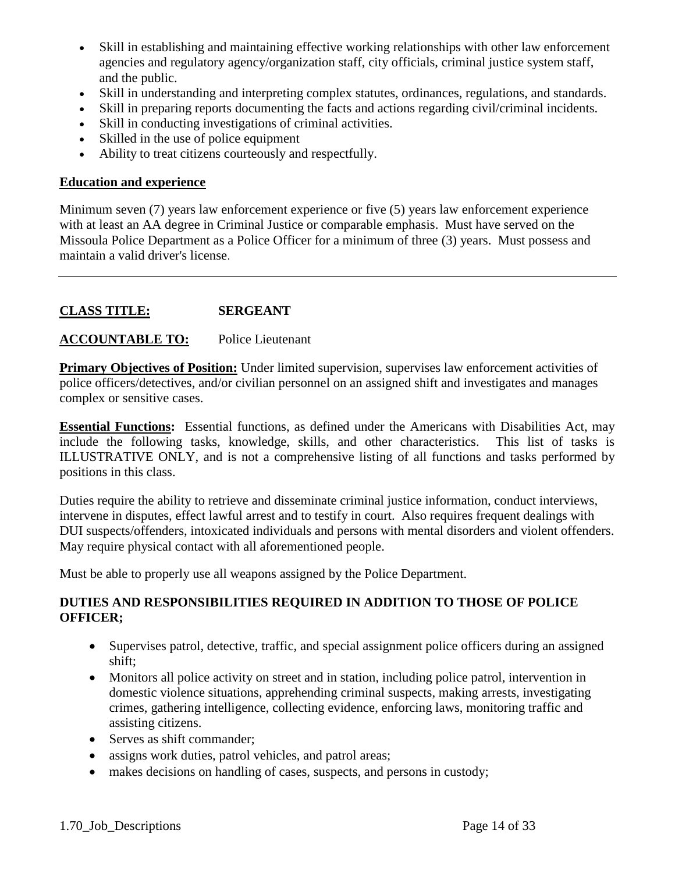- Skill in establishing and maintaining effective working relationships with other law enforcement agencies and regulatory agency/organization staff, city officials, criminal justice system staff, and the public.
- Skill in understanding and interpreting complex statutes, ordinances, regulations, and standards.
- Skill in preparing reports documenting the facts and actions regarding civil/criminal incidents.
- Skill in conducting investigations of criminal activities.
- Skilled in the use of police equipment
- Ability to treat citizens courteously and respectfully.

#### **Education and experience**

Minimum seven (7) years law enforcement experience or five (5) years law enforcement experience with at least an AA degree in Criminal Justice or comparable emphasis. Must have served on the Missoula Police Department as a Police Officer for a minimum of three (3) years. Must possess and maintain a valid driver's license.

#### **CLASS TITLE: SERGEANT**

#### **ACCOUNTABLE TO:** Police Lieutenant

**Primary Objectives of Position:** Under limited supervision, supervises law enforcement activities of police officers/detectives, and/or civilian personnel on an assigned shift and investigates and manages complex or sensitive cases.

**Essential Functions:** Essential functions, as defined under the Americans with Disabilities Act, may include the following tasks, knowledge, skills, and other characteristics. This list of tasks is ILLUSTRATIVE ONLY, and is not a comprehensive listing of all functions and tasks performed by positions in this class.

Duties require the ability to retrieve and disseminate criminal justice information, conduct interviews, intervene in disputes, effect lawful arrest and to testify in court. Also requires frequent dealings with DUI suspects/offenders, intoxicated individuals and persons with mental disorders and violent offenders. May require physical contact with all aforementioned people.

Must be able to properly use all weapons assigned by the Police Department.

- Supervises patrol, detective, traffic, and special assignment police officers during an assigned shift;
- Monitors all police activity on street and in station, including police patrol, intervention in domestic violence situations, apprehending criminal suspects, making arrests, investigating crimes, gathering intelligence, collecting evidence, enforcing laws, monitoring traffic and assisting citizens.
- Serves as shift commander;
- assigns work duties, patrol vehicles, and patrol areas;
- makes decisions on handling of cases, suspects, and persons in custody;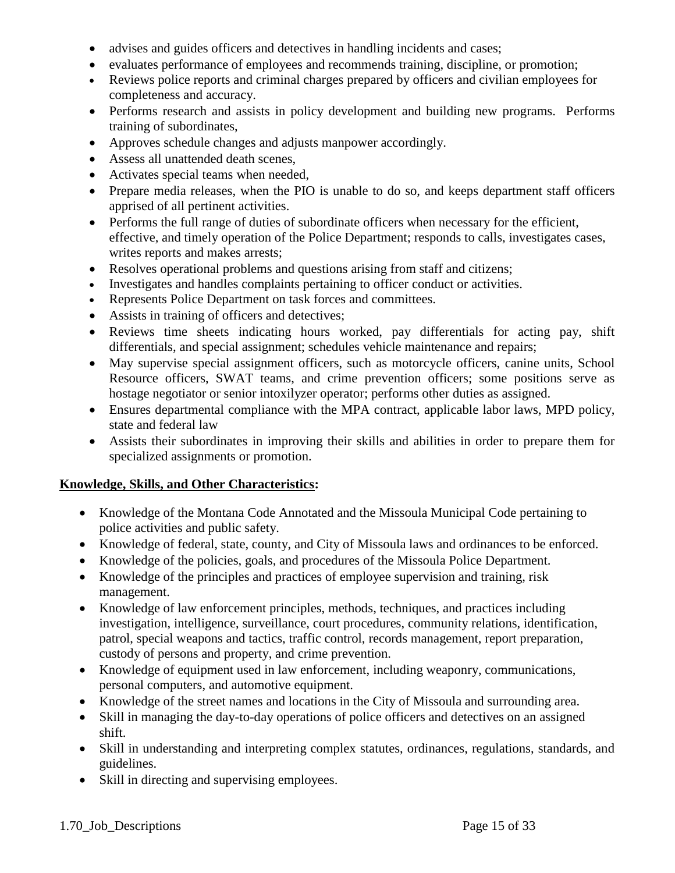- advises and guides officers and detectives in handling incidents and cases;
- evaluates performance of employees and recommends training, discipline, or promotion;
- Reviews police reports and criminal charges prepared by officers and civilian employees for completeness and accuracy.
- Performs research and assists in policy development and building new programs. Performs training of subordinates,
- Approves schedule changes and adjusts manpower accordingly.
- Assess all unattended death scenes,
- Activates special teams when needed,
- Prepare media releases, when the PIO is unable to do so, and keeps department staff officers apprised of all pertinent activities.
- Performs the full range of duties of subordinate officers when necessary for the efficient, effective, and timely operation of the Police Department; responds to calls, investigates cases, writes reports and makes arrests;
- Resolves operational problems and questions arising from staff and citizens;
- Investigates and handles complaints pertaining to officer conduct or activities.
- Represents Police Department on task forces and committees.
- Assists in training of officers and detectives;
- Reviews time sheets indicating hours worked, pay differentials for acting pay, shift differentials, and special assignment; schedules vehicle maintenance and repairs;
- May supervise special assignment officers, such as motorcycle officers, canine units, School Resource officers, SWAT teams, and crime prevention officers; some positions serve as hostage negotiator or senior intoxilyzer operator; performs other duties as assigned.
- Ensures departmental compliance with the MPA contract, applicable labor laws, MPD policy, state and federal law
- Assists their subordinates in improving their skills and abilities in order to prepare them for specialized assignments or promotion.

## **Knowledge, Skills, and Other Characteristics:**

- Knowledge of the Montana Code Annotated and the Missoula Municipal Code pertaining to police activities and public safety.
- Knowledge of federal, state, county, and City of Missoula laws and ordinances to be enforced.
- Knowledge of the policies, goals, and procedures of the Missoula Police Department.
- Knowledge of the principles and practices of employee supervision and training, risk management.
- Knowledge of law enforcement principles, methods, techniques, and practices including investigation, intelligence, surveillance, court procedures, community relations, identification, patrol, special weapons and tactics, traffic control, records management, report preparation, custody of persons and property, and crime prevention.
- Knowledge of equipment used in law enforcement, including weaponry, communications, personal computers, and automotive equipment.
- Knowledge of the street names and locations in the City of Missoula and surrounding area.
- Skill in managing the day-to-day operations of police officers and detectives on an assigned shift.
- Skill in understanding and interpreting complex statutes, ordinances, regulations, standards, and guidelines.
- Skill in directing and supervising employees.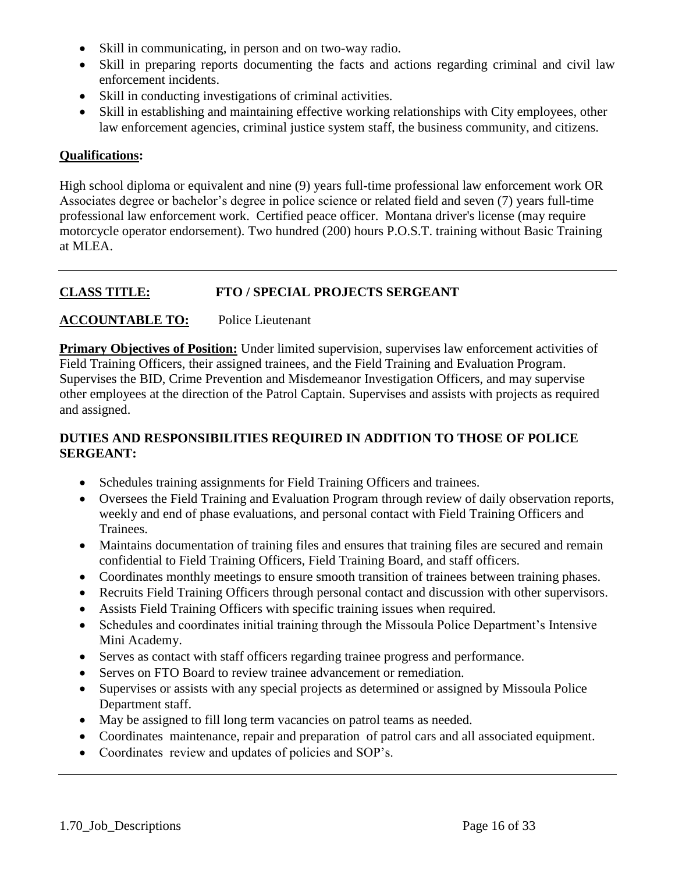- Skill in communicating, in person and on two-way radio.
- Skill in preparing reports documenting the facts and actions regarding criminal and civil law enforcement incidents.
- Skill in conducting investigations of criminal activities.
- Skill in establishing and maintaining effective working relationships with City employees, other law enforcement agencies, criminal justice system staff, the business community, and citizens.

## **Qualifications:**

High school diploma or equivalent and nine (9) years full-time professional law enforcement work OR Associates degree or bachelor's degree in police science or related field and seven (7) years full-time professional law enforcement work. Certified peace officer. Montana driver's license (may require motorcycle operator endorsement). Two hundred (200) hours P.O.S.T. training without Basic Training at MLEA.

# **CLASS TITLE: FTO / SPECIAL PROJECTS SERGEANT**

## **ACCOUNTABLE TO:** Police Lieutenant

**Primary Objectives of Position:** Under limited supervision, supervises law enforcement activities of Field Training Officers, their assigned trainees, and the Field Training and Evaluation Program. Supervises the BID, Crime Prevention and Misdemeanor Investigation Officers, and may supervise other employees at the direction of the Patrol Captain. Supervises and assists with projects as required and assigned.

- Schedules training assignments for Field Training Officers and trainees.
- Oversees the Field Training and Evaluation Program through review of daily observation reports, weekly and end of phase evaluations, and personal contact with Field Training Officers and Trainees.
- Maintains documentation of training files and ensures that training files are secured and remain confidential to Field Training Officers, Field Training Board, and staff officers.
- Coordinates monthly meetings to ensure smooth transition of trainees between training phases.
- Recruits Field Training Officers through personal contact and discussion with other supervisors.
- Assists Field Training Officers with specific training issues when required.
- Schedules and coordinates initial training through the Missoula Police Department's Intensive Mini Academy.
- Serves as contact with staff officers regarding trainee progress and performance.
- Serves on FTO Board to review trainee advancement or remediation.
- Supervises or assists with any special projects as determined or assigned by Missoula Police Department staff.
- May be assigned to fill long term vacancies on patrol teams as needed.
- Coordinates maintenance, repair and preparation of patrol cars and all associated equipment.
- Coordinates review and updates of policies and SOP's.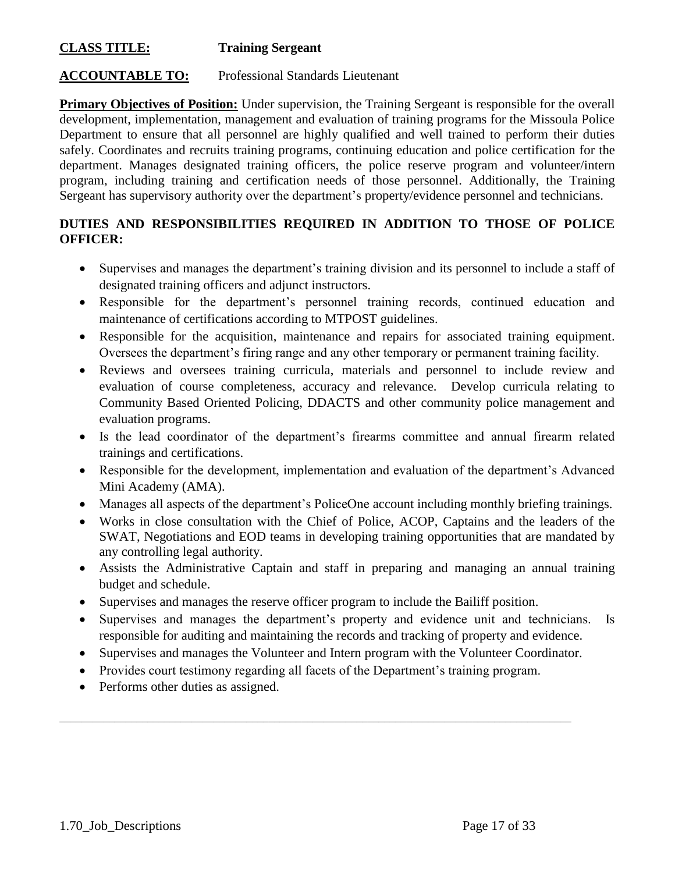## **CLASS TITLE: Training Sergeant**

# **ACCOUNTABLE TO:** Professional Standards Lieutenant

**Primary Objectives of Position:** Under supervision, the Training Sergeant is responsible for the overall development, implementation, management and evaluation of training programs for the Missoula Police Department to ensure that all personnel are highly qualified and well trained to perform their duties safely. Coordinates and recruits training programs, continuing education and police certification for the department. Manages designated training officers, the police reserve program and volunteer/intern program, including training and certification needs of those personnel. Additionally, the Training Sergeant has supervisory authority over the department's property/evidence personnel and technicians.

## **DUTIES AND RESPONSIBILITIES REQUIRED IN ADDITION TO THOSE OF POLICE OFFICER:**

- Supervises and manages the department's training division and its personnel to include a staff of designated training officers and adjunct instructors.
- Responsible for the department's personnel training records, continued education and maintenance of certifications according to MTPOST guidelines.
- Responsible for the acquisition, maintenance and repairs for associated training equipment. Oversees the department's firing range and any other temporary or permanent training facility.
- Reviews and oversees training curricula, materials and personnel to include review and evaluation of course completeness, accuracy and relevance. Develop curricula relating to Community Based Oriented Policing, DDACTS and other community police management and evaluation programs.
- Is the lead coordinator of the department's firearms committee and annual firearm related trainings and certifications.
- Responsible for the development, implementation and evaluation of the department's Advanced Mini Academy (AMA).
- Manages all aspects of the department's PoliceOne account including monthly briefing trainings.
- Works in close consultation with the Chief of Police, ACOP, Captains and the leaders of the SWAT, Negotiations and EOD teams in developing training opportunities that are mandated by any controlling legal authority.
- Assists the Administrative Captain and staff in preparing and managing an annual training budget and schedule.
- Supervises and manages the reserve officer program to include the Bailiff position.
- Supervises and manages the department's property and evidence unit and technicians. Is responsible for auditing and maintaining the records and tracking of property and evidence.
- Supervises and manages the Volunteer and Intern program with the Volunteer Coordinator.
- Provides court testimony regarding all facets of the Department's training program.

 $\mathcal{L}_\mathcal{L} = \{ \mathcal{L}_\mathcal{L} = \{ \mathcal{L}_\mathcal{L} = \{ \mathcal{L}_\mathcal{L} = \{ \mathcal{L}_\mathcal{L} = \{ \mathcal{L}_\mathcal{L} = \{ \mathcal{L}_\mathcal{L} = \{ \mathcal{L}_\mathcal{L} = \{ \mathcal{L}_\mathcal{L} = \{ \mathcal{L}_\mathcal{L} = \{ \mathcal{L}_\mathcal{L} = \{ \mathcal{L}_\mathcal{L} = \{ \mathcal{L}_\mathcal{L} = \{ \mathcal{L}_\mathcal{L} = \{ \mathcal{L}_\mathcal{$ 

• Performs other duties as assigned.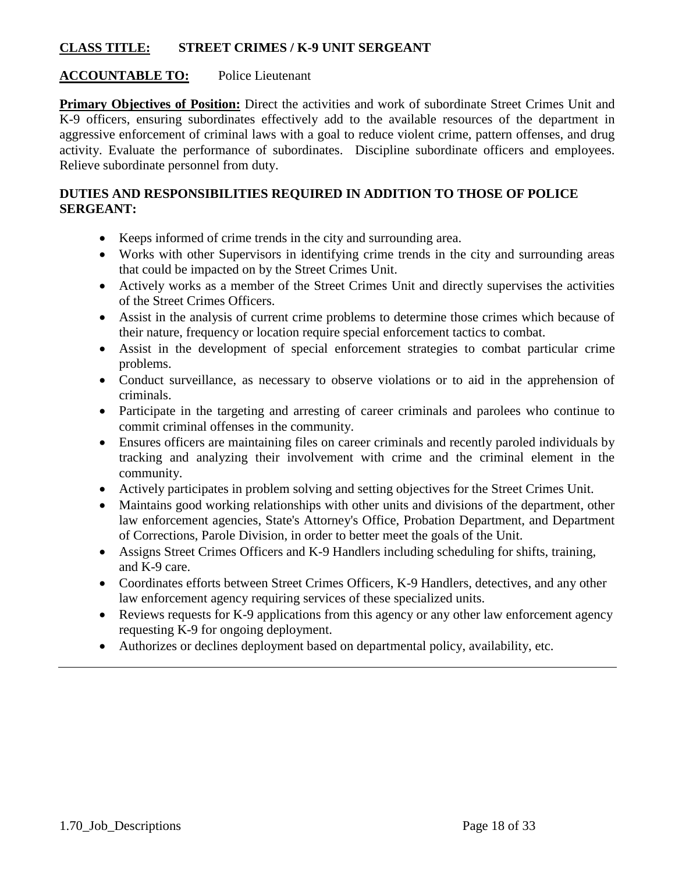## **CLASS TITLE: STREET CRIMES / K-9 UNIT SERGEANT**

## **ACCOUNTABLE TO:** Police Lieutenant

**Primary Objectives of Position:** Direct the activities and work of subordinate Street Crimes Unit and K-9 officers, ensuring subordinates effectively add to the available resources of the department in aggressive enforcement of criminal laws with a goal to reduce violent crime, pattern offenses, and drug activity. Evaluate the performance of subordinates. Discipline subordinate officers and employees. Relieve subordinate personnel from duty.

- Keeps informed of crime trends in the city and surrounding area.
- Works with other Supervisors in identifying crime trends in the city and surrounding areas that could be impacted on by the Street Crimes Unit.
- Actively works as a member of the Street Crimes Unit and directly supervises the activities of the Street Crimes Officers.
- Assist in the analysis of current crime problems to determine those crimes which because of their nature, frequency or location require special enforcement tactics to combat.
- Assist in the development of special enforcement strategies to combat particular crime problems.
- Conduct surveillance, as necessary to observe violations or to aid in the apprehension of criminals.
- Participate in the targeting and arresting of career criminals and parolees who continue to commit criminal offenses in the community.
- Ensures officers are maintaining files on career criminals and recently paroled individuals by tracking and analyzing their involvement with crime and the criminal element in the community.
- Actively participates in problem solving and setting objectives for the Street Crimes Unit.
- Maintains good working relationships with other units and divisions of the department, other law enforcement agencies, State's Attorney's Office, Probation Department, and Department of Corrections, Parole Division, in order to better meet the goals of the Unit.
- Assigns Street Crimes Officers and K-9 Handlers including scheduling for shifts, training, and K-9 care.
- Coordinates efforts between Street Crimes Officers, K-9 Handlers, detectives, and any other law enforcement agency requiring services of these specialized units.
- Reviews requests for K-9 applications from this agency or any other law enforcement agency requesting K-9 for ongoing deployment.
- Authorizes or declines deployment based on departmental policy, availability, etc.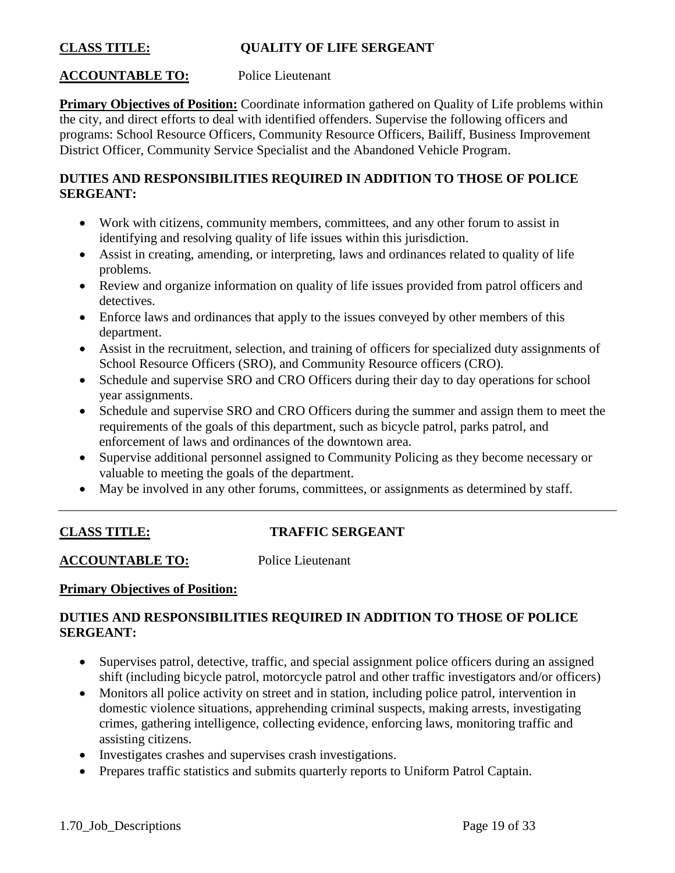## **CLASS TITLE: QUALITY OF LIFE SERGEANT**

## **ACCOUNTABLE TO:** Police Lieutenant

**Primary Objectives of Position:** Coordinate information gathered on Quality of Life problems within the city, and direct efforts to deal with identified offenders. Supervise the following officers and programs: School Resource Officers, Community Resource Officers, Bailiff, Business Improvement District Officer, Community Service Specialist and the Abandoned Vehicle Program.

## **DUTIES AND RESPONSIBILITIES REQUIRED IN ADDITION TO THOSE OF POLICE SERGEANT:**

- Work with citizens, community members, committees, and any other forum to assist in identifying and resolving quality of life issues within this jurisdiction.
- Assist in creating, amending, or interpreting, laws and ordinances related to quality of life problems.
- Review and organize information on quality of life issues provided from patrol officers and detectives.
- Enforce laws and ordinances that apply to the issues conveyed by other members of this department.
- Assist in the recruitment, selection, and training of officers for specialized duty assignments of School Resource Officers (SRO), and Community Resource officers (CRO).
- Schedule and supervise SRO and CRO Officers during their day to day operations for school year assignments.
- Schedule and supervise SRO and CRO Officers during the summer and assign them to meet the requirements of the goals of this department, such as bicycle patrol, parks patrol, and enforcement of laws and ordinances of the downtown area.
- Supervise additional personnel assigned to Community Policing as they become necessary or valuable to meeting the goals of the department.
- May be involved in any other forums, committees, or assignments as determined by staff.

## **CLASS TITLE: TRAFFIC SERGEANT**

**ACCOUNTABLE TO:** Police Lieutenant

#### **Primary Objectives of Position:**

- Supervises patrol, detective, traffic, and special assignment police officers during an assigned shift (including bicycle patrol, motorcycle patrol and other traffic investigators and/or officers)
- Monitors all police activity on street and in station, including police patrol, intervention in domestic violence situations, apprehending criminal suspects, making arrests, investigating crimes, gathering intelligence, collecting evidence, enforcing laws, monitoring traffic and assisting citizens.
- Investigates crashes and supervises crash investigations.
- Prepares traffic statistics and submits quarterly reports to Uniform Patrol Captain.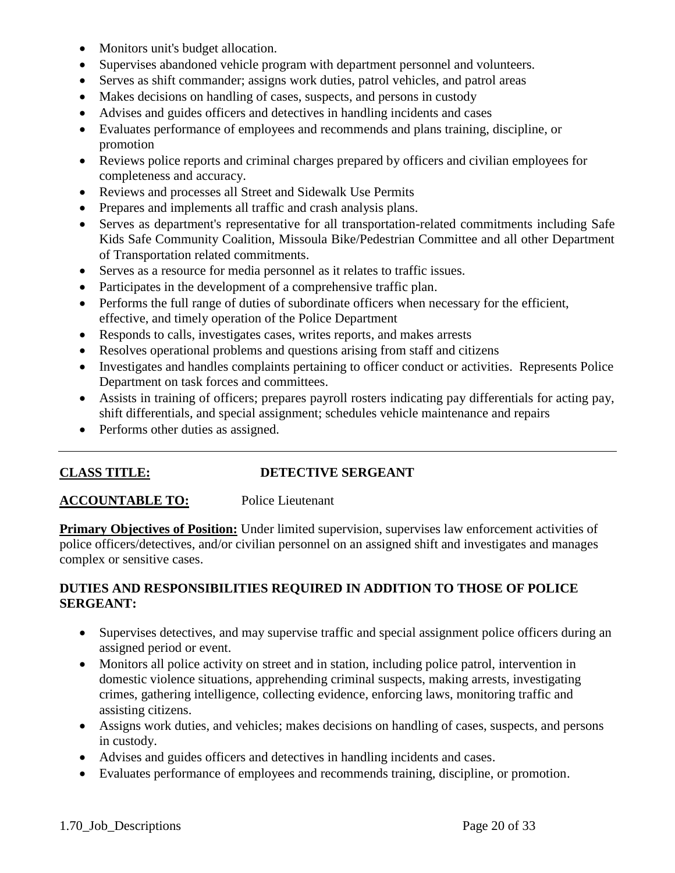- Monitors unit's budget allocation.
- Supervises abandoned vehicle program with department personnel and volunteers.
- Serves as shift commander; assigns work duties, patrol vehicles, and patrol areas
- Makes decisions on handling of cases, suspects, and persons in custody
- Advises and guides officers and detectives in handling incidents and cases
- Evaluates performance of employees and recommends and plans training, discipline, or promotion
- Reviews police reports and criminal charges prepared by officers and civilian employees for completeness and accuracy.
- Reviews and processes all Street and Sidewalk Use Permits
- Prepares and implements all traffic and crash analysis plans.
- Serves as department's representative for all transportation-related commitments including Safe Kids Safe Community Coalition, Missoula Bike/Pedestrian Committee and all other Department of Transportation related commitments.
- Serves as a resource for media personnel as it relates to traffic issues.
- Participates in the development of a comprehensive traffic plan.
- Performs the full range of duties of subordinate officers when necessary for the efficient, effective, and timely operation of the Police Department
- Responds to calls, investigates cases, writes reports, and makes arrests
- Resolves operational problems and questions arising from staff and citizens
- Investigates and handles complaints pertaining to officer conduct or activities. Represents Police Department on task forces and committees.
- Assists in training of officers; prepares payroll rosters indicating pay differentials for acting pay, shift differentials, and special assignment; schedules vehicle maintenance and repairs
- Performs other duties as assigned.

## **CLASS TITLE: DETECTIVE SERGEANT**

#### **ACCOUNTABLE TO:** Police Lieutenant

**Primary Objectives of Position:** Under limited supervision, supervises law enforcement activities of police officers/detectives, and/or civilian personnel on an assigned shift and investigates and manages complex or sensitive cases.

- Supervises detectives, and may supervise traffic and special assignment police officers during an assigned period or event.
- Monitors all police activity on street and in station, including police patrol, intervention in domestic violence situations, apprehending criminal suspects, making arrests, investigating crimes, gathering intelligence, collecting evidence, enforcing laws, monitoring traffic and assisting citizens.
- Assigns work duties, and vehicles; makes decisions on handling of cases, suspects, and persons in custody.
- Advises and guides officers and detectives in handling incidents and cases.
- Evaluates performance of employees and recommends training, discipline, or promotion.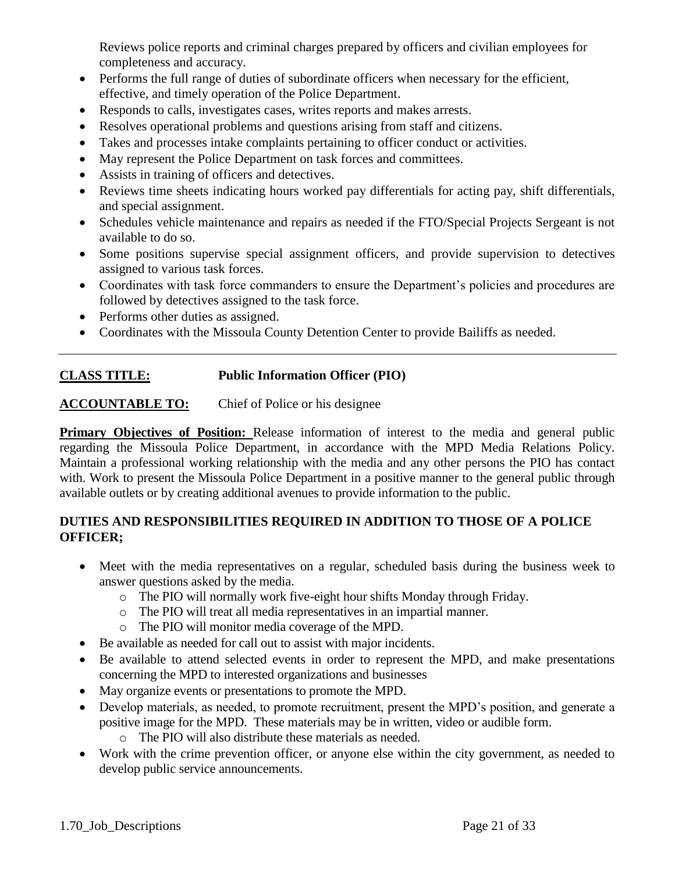Reviews police reports and criminal charges prepared by officers and civilian employees for completeness and accuracy.

- Performs the full range of duties of subordinate officers when necessary for the efficient, effective, and timely operation of the Police Department.
- Responds to calls, investigates cases, writes reports and makes arrests.
- Resolves operational problems and questions arising from staff and citizens.
- Takes and processes intake complaints pertaining to officer conduct or activities.
- May represent the Police Department on task forces and committees.
- Assists in training of officers and detectives.
- Reviews time sheets indicating hours worked pay differentials for acting pay, shift differentials, and special assignment.
- Schedules vehicle maintenance and repairs as needed if the FTO/Special Projects Sergeant is not available to do so.
- Some positions supervise special assignment officers, and provide supervision to detectives assigned to various task forces.
- Coordinates with task force commanders to ensure the Department's policies and procedures are followed by detectives assigned to the task force.
- Performs other duties as assigned.
- Coordinates with the Missoula County Detention Center to provide Bailiffs as needed.

## **CLASS TITLE: Public Information Officer (PIO)**

**ACCOUNTABLE TO:** Chief of Police or his designee

**Primary Objectives of Position:** Release information of interest to the media and general public regarding the Missoula Police Department, in accordance with the MPD Media Relations Policy. Maintain a professional working relationship with the media and any other persons the PIO has contact with. Work to present the Missoula Police Department in a positive manner to the general public through available outlets or by creating additional avenues to provide information to the public.

- Meet with the media representatives on a regular, scheduled basis during the business week to answer questions asked by the media.
	- o The PIO will normally work five-eight hour shifts Monday through Friday.
	- o The PIO will treat all media representatives in an impartial manner.
	- o The PIO will monitor media coverage of the MPD.
- Be available as needed for call out to assist with major incidents.
- Be available to attend selected events in order to represent the MPD, and make presentations concerning the MPD to interested organizations and businesses
- May organize events or presentations to promote the MPD.
- Develop materials, as needed, to promote recruitment, present the MPD's position, and generate a positive image for the MPD. These materials may be in written, video or audible form.
	- o The PIO will also distribute these materials as needed.
- Work with the crime prevention officer, or anyone else within the city government, as needed to develop public service announcements.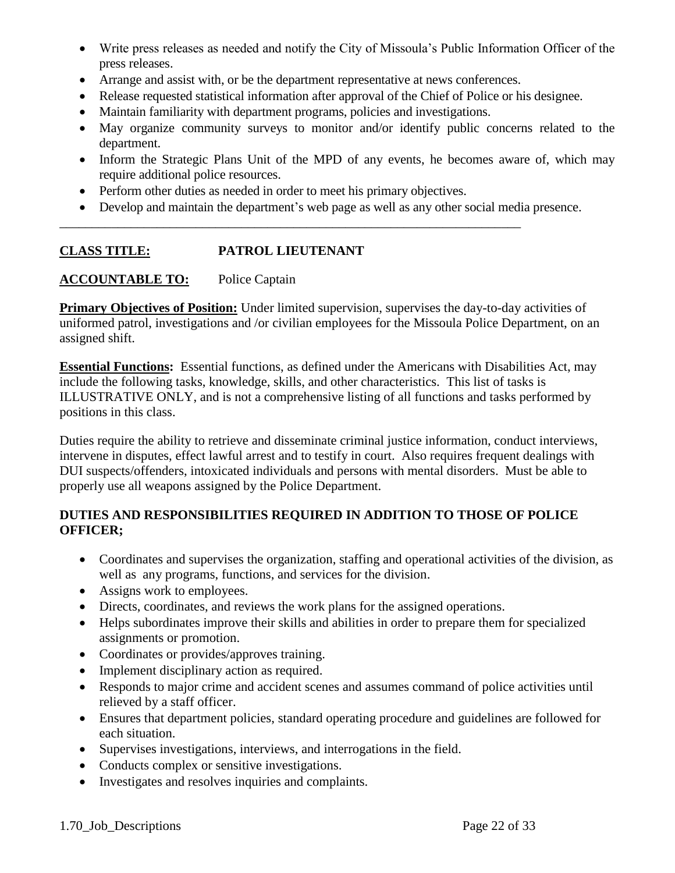- Write press releases as needed and notify the City of Missoula's Public Information Officer of the press releases.
- Arrange and assist with, or be the department representative at news conferences.
- Release requested statistical information after approval of the Chief of Police or his designee.
- Maintain familiarity with department programs, policies and investigations.
- May organize community surveys to monitor and/or identify public concerns related to the department.
- Inform the Strategic Plans Unit of the MPD of any events, he becomes aware of, which may require additional police resources.
- Perform other duties as needed in order to meet his primary objectives.

\_\_\_\_\_\_\_\_\_\_\_\_\_\_\_\_\_\_\_\_\_\_\_\_\_\_\_\_\_\_\_\_\_\_\_\_\_\_\_\_\_\_\_\_\_\_\_\_\_\_\_\_\_\_\_\_\_\_\_\_\_\_\_\_\_\_\_\_\_\_\_

Develop and maintain the department's web page as well as any other social media presence.

# **CLASS TITLE: PATROL LIEUTENANT**

## **ACCOUNTABLE TO:** Police Captain

**Primary Objectives of Position:** Under limited supervision, supervises the day-to-day activities of uniformed patrol, investigations and /or civilian employees for the Missoula Police Department, on an assigned shift.

**Essential Functions:** Essential functions, as defined under the Americans with Disabilities Act, may include the following tasks, knowledge, skills, and other characteristics. This list of tasks is ILLUSTRATIVE ONLY, and is not a comprehensive listing of all functions and tasks performed by positions in this class.

Duties require the ability to retrieve and disseminate criminal justice information, conduct interviews, intervene in disputes, effect lawful arrest and to testify in court. Also requires frequent dealings with DUI suspects/offenders, intoxicated individuals and persons with mental disorders. Must be able to properly use all weapons assigned by the Police Department.

- Coordinates and supervises the organization, staffing and operational activities of the division, as well as any programs, functions, and services for the division.
- Assigns work to employees.
- Directs, coordinates, and reviews the work plans for the assigned operations.
- Helps subordinates improve their skills and abilities in order to prepare them for specialized assignments or promotion.
- Coordinates or provides/approves training.
- Implement disciplinary action as required.
- Responds to major crime and accident scenes and assumes command of police activities until relieved by a staff officer.
- Ensures that department policies, standard operating procedure and guidelines are followed for each situation.
- Supervises investigations, interviews, and interrogations in the field.
- Conducts complex or sensitive investigations.
- Investigates and resolves inquiries and complaints.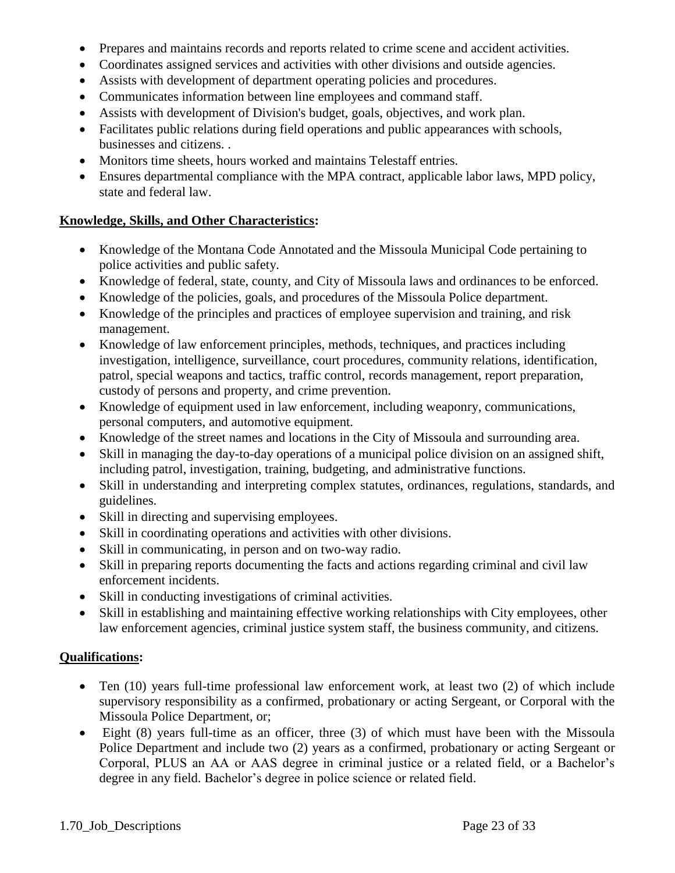- Prepares and maintains records and reports related to crime scene and accident activities.
- Coordinates assigned services and activities with other divisions and outside agencies.
- Assists with development of department operating policies and procedures.
- Communicates information between line employees and command staff.
- Assists with development of Division's budget, goals, objectives, and work plan.
- Facilitates public relations during field operations and public appearances with schools, businesses and citizens. .
- Monitors time sheets, hours worked and maintains Telestaff entries.
- Ensures departmental compliance with the MPA contract, applicable labor laws, MPD policy, state and federal law.

## **Knowledge, Skills, and Other Characteristics:**

- Knowledge of the Montana Code Annotated and the Missoula Municipal Code pertaining to police activities and public safety.
- Knowledge of federal, state, county, and City of Missoula laws and ordinances to be enforced.
- Knowledge of the policies, goals, and procedures of the Missoula Police department.
- Knowledge of the principles and practices of employee supervision and training, and risk management.
- Knowledge of law enforcement principles, methods, techniques, and practices including investigation, intelligence, surveillance, court procedures, community relations, identification, patrol, special weapons and tactics, traffic control, records management, report preparation, custody of persons and property, and crime prevention.
- Knowledge of equipment used in law enforcement, including weaponry, communications, personal computers, and automotive equipment.
- Knowledge of the street names and locations in the City of Missoula and surrounding area.
- Skill in managing the day-to-day operations of a municipal police division on an assigned shift, including patrol, investigation, training, budgeting, and administrative functions.
- Skill in understanding and interpreting complex statutes, ordinances, regulations, standards, and guidelines.
- Skill in directing and supervising employees.
- Skill in coordinating operations and activities with other divisions.
- Skill in communicating, in person and on two-way radio.
- Skill in preparing reports documenting the facts and actions regarding criminal and civil law enforcement incidents.
- Skill in conducting investigations of criminal activities.
- Skill in establishing and maintaining effective working relationships with City employees, other law enforcement agencies, criminal justice system staff, the business community, and citizens.

## **Qualifications:**

- Ten (10) years full-time professional law enforcement work, at least two (2) of which include supervisory responsibility as a confirmed, probationary or acting Sergeant, or Corporal with the Missoula Police Department, or;
- Eight (8) years full-time as an officer, three (3) of which must have been with the Missoula Police Department and include two (2) years as a confirmed, probationary or acting Sergeant or Corporal, PLUS an AA or AAS degree in criminal justice or a related field, or a Bachelor's degree in any field. Bachelor's degree in police science or related field.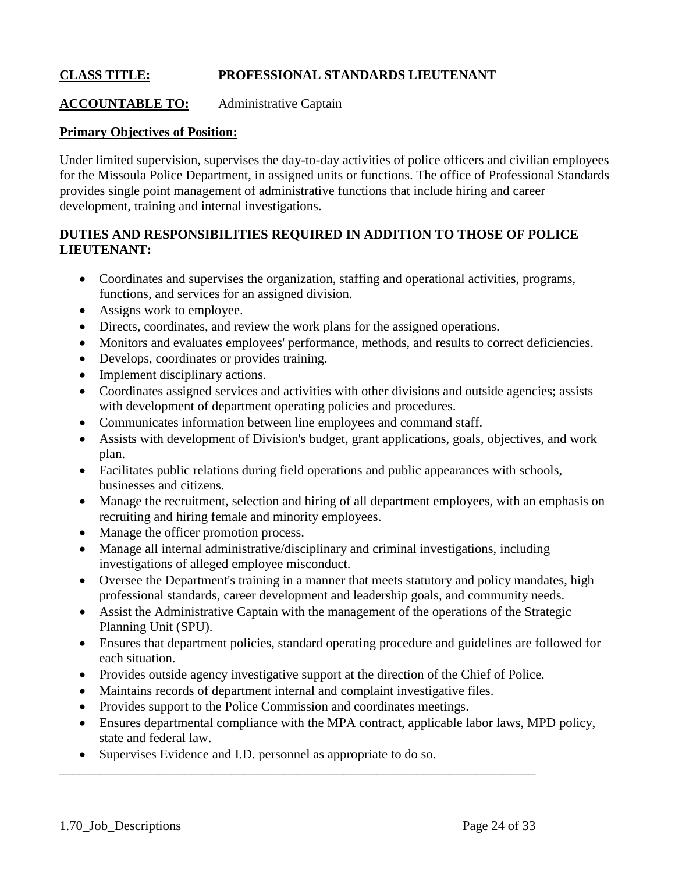# **CLASS TITLE: PROFESSIONAL STANDARDS LIEUTENANT**

**ACCOUNTABLE TO:** Administrative Captain

#### **Primary Objectives of Position:**

Under limited supervision, supervises the day-to-day activities of police officers and civilian employees for the Missoula Police Department, in assigned units or functions. The office of Professional Standards provides single point management of administrative functions that include hiring and career development, training and internal investigations.

## **DUTIES AND RESPONSIBILITIES REQUIRED IN ADDITION TO THOSE OF POLICE LIEUTENANT:**

- Coordinates and supervises the organization, staffing and operational activities, programs, functions, and services for an assigned division.
- Assigns work to employee.
- Directs, coordinates, and review the work plans for the assigned operations.
- Monitors and evaluates employees' performance, methods, and results to correct deficiencies.
- Develops, coordinates or provides training.
- Implement disciplinary actions.
- Coordinates assigned services and activities with other divisions and outside agencies; assists with development of department operating policies and procedures.
- Communicates information between line employees and command staff.
- Assists with development of Division's budget, grant applications, goals, objectives, and work plan.
- Facilitates public relations during field operations and public appearances with schools, businesses and citizens.
- Manage the recruitment, selection and hiring of all department employees, with an emphasis on recruiting and hiring female and minority employees.
- Manage the officer promotion process.
- Manage all internal administrative/disciplinary and criminal investigations, including investigations of alleged employee misconduct.
- Oversee the Department's training in a manner that meets statutory and policy mandates, high professional standards, career development and leadership goals, and community needs.
- Assist the Administrative Captain with the management of the operations of the Strategic Planning Unit (SPU).
- Ensures that department policies, standard operating procedure and guidelines are followed for each situation.
- Provides outside agency investigative support at the direction of the Chief of Police.
- Maintains records of department internal and complaint investigative files.

\_\_\_\_\_\_\_\_\_\_\_\_\_\_\_\_\_\_\_\_\_\_\_\_\_\_\_\_\_\_\_\_\_\_\_\_\_\_\_\_\_\_\_\_\_\_\_\_\_\_\_\_\_\_\_\_\_\_\_\_\_\_\_\_\_\_\_\_\_\_\_\_

- Provides support to the Police Commission and coordinates meetings.
- Ensures departmental compliance with the MPA contract, applicable labor laws, MPD policy, state and federal law.
- Supervises Evidence and I.D. personnel as appropriate to do so.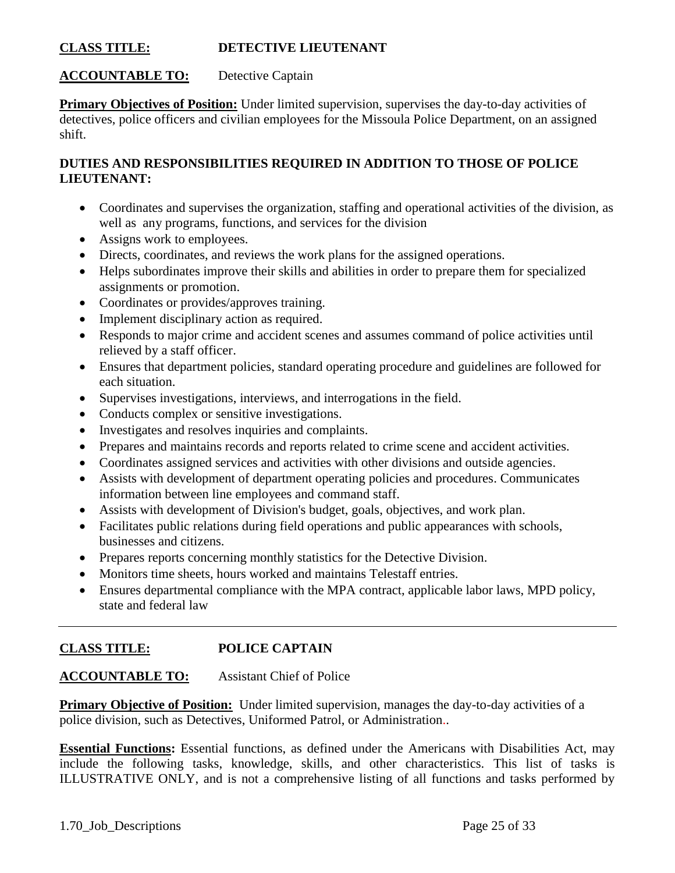#### **CLASS TITLE: DETECTIVE LIEUTENANT**

#### **ACCOUNTABLE TO:** Detective Captain

**Primary Objectives of Position:** Under limited supervision, supervises the day-to-day activities of detectives, police officers and civilian employees for the Missoula Police Department, on an assigned shift.

## **DUTIES AND RESPONSIBILITIES REQUIRED IN ADDITION TO THOSE OF POLICE LIEUTENANT:**

- Coordinates and supervises the organization, staffing and operational activities of the division, as well as any programs, functions, and services for the division
- Assigns work to employees.
- Directs, coordinates, and reviews the work plans for the assigned operations.
- Helps subordinates improve their skills and abilities in order to prepare them for specialized assignments or promotion.
- Coordinates or provides/approves training.
- Implement disciplinary action as required.
- Responds to major crime and accident scenes and assumes command of police activities until relieved by a staff officer.
- Ensures that department policies, standard operating procedure and guidelines are followed for each situation.
- Supervises investigations, interviews, and interrogations in the field.
- Conducts complex or sensitive investigations.
- Investigates and resolves inquiries and complaints.
- Prepares and maintains records and reports related to crime scene and accident activities.
- Coordinates assigned services and activities with other divisions and outside agencies.
- Assists with development of department operating policies and procedures. Communicates information between line employees and command staff.
- Assists with development of Division's budget, goals, objectives, and work plan.
- Facilitates public relations during field operations and public appearances with schools, businesses and citizens.
- Prepares reports concerning monthly statistics for the Detective Division.
- Monitors time sheets, hours worked and maintains Telestaff entries.
- Ensures departmental compliance with the MPA contract, applicable labor laws, MPD policy, state and federal law

## **CLASS TITLE: POLICE CAPTAIN**

## **ACCOUNTABLE TO:** Assistant Chief of Police

**Primary Objective of Position:** Under limited supervision, manages the day-to-day activities of a police division, such as Detectives, Uniformed Patrol, or Administration..

**Essential Functions:** Essential functions, as defined under the Americans with Disabilities Act, may include the following tasks, knowledge, skills, and other characteristics. This list of tasks is ILLUSTRATIVE ONLY, and is not a comprehensive listing of all functions and tasks performed by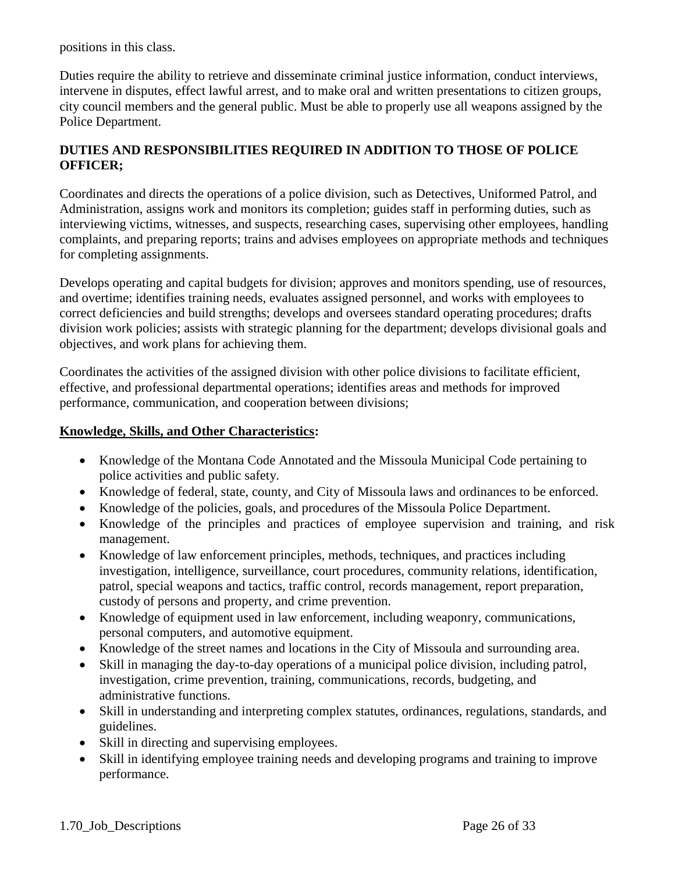positions in this class.

Duties require the ability to retrieve and disseminate criminal justice information, conduct interviews, intervene in disputes, effect lawful arrest, and to make oral and written presentations to citizen groups, city council members and the general public. Must be able to properly use all weapons assigned by the Police Department.

## **DUTIES AND RESPONSIBILITIES REQUIRED IN ADDITION TO THOSE OF POLICE OFFICER;**

Coordinates and directs the operations of a police division, such as Detectives, Uniformed Patrol, and Administration, assigns work and monitors its completion; guides staff in performing duties, such as interviewing victims, witnesses, and suspects, researching cases, supervising other employees, handling complaints, and preparing reports; trains and advises employees on appropriate methods and techniques for completing assignments.

Develops operating and capital budgets for division; approves and monitors spending, use of resources, and overtime; identifies training needs, evaluates assigned personnel, and works with employees to correct deficiencies and build strengths; develops and oversees standard operating procedures; drafts division work policies; assists with strategic planning for the department; develops divisional goals and objectives, and work plans for achieving them.

Coordinates the activities of the assigned division with other police divisions to facilitate efficient, effective, and professional departmental operations; identifies areas and methods for improved performance, communication, and cooperation between divisions;

## **Knowledge, Skills, and Other Characteristics:**

- Knowledge of the Montana Code Annotated and the Missoula Municipal Code pertaining to police activities and public safety.
- Knowledge of federal, state, county, and City of Missoula laws and ordinances to be enforced.
- Knowledge of the policies, goals, and procedures of the Missoula Police Department.
- Knowledge of the principles and practices of employee supervision and training, and risk management.
- Knowledge of law enforcement principles, methods, techniques, and practices including investigation, intelligence, surveillance, court procedures, community relations, identification, patrol, special weapons and tactics, traffic control, records management, report preparation, custody of persons and property, and crime prevention.
- Knowledge of equipment used in law enforcement, including weaponry, communications, personal computers, and automotive equipment.
- Knowledge of the street names and locations in the City of Missoula and surrounding area.
- Skill in managing the day-to-day operations of a municipal police division, including patrol, investigation, crime prevention, training, communications, records, budgeting, and administrative functions.
- Skill in understanding and interpreting complex statutes, ordinances, regulations, standards, and guidelines.
- Skill in directing and supervising employees.
- Skill in identifying employee training needs and developing programs and training to improve performance.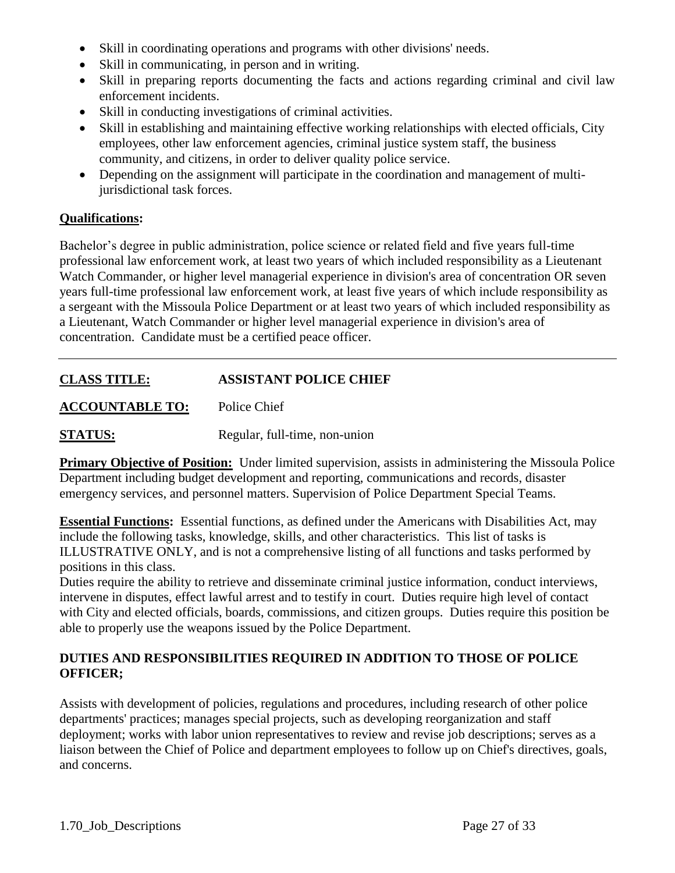- Skill in coordinating operations and programs with other divisions' needs.
- Skill in communicating, in person and in writing.
- Skill in preparing reports documenting the facts and actions regarding criminal and civil law enforcement incidents.
- Skill in conducting investigations of criminal activities.
- Skill in establishing and maintaining effective working relationships with elected officials, City employees, other law enforcement agencies, criminal justice system staff, the business community, and citizens, in order to deliver quality police service.
- Depending on the assignment will participate in the coordination and management of multijurisdictional task forces.

## **Qualifications:**

Bachelor's degree in public administration, police science or related field and five years full-time professional law enforcement work, at least two years of which included responsibility as a Lieutenant Watch Commander, or higher level managerial experience in division's area of concentration OR seven years full-time professional law enforcement work, at least five years of which include responsibility as a sergeant with the Missoula Police Department or at least two years of which included responsibility as a Lieutenant, Watch Commander or higher level managerial experience in division's area of concentration. Candidate must be a certified peace officer.

# **CLASS TITLE: ASSISTANT POLICE CHIEF**

**ACCOUNTABLE TO:** Police Chief

**STATUS:** Regular, full-time, non-union

**Primary Objective of Position:** Under limited supervision, assists in administering the Missoula Police Department including budget development and reporting, communications and records, disaster emergency services, and personnel matters. Supervision of Police Department Special Teams.

**Essential Functions:** Essential functions, as defined under the Americans with Disabilities Act, may include the following tasks, knowledge, skills, and other characteristics. This list of tasks is ILLUSTRATIVE ONLY, and is not a comprehensive listing of all functions and tasks performed by positions in this class.

Duties require the ability to retrieve and disseminate criminal justice information, conduct interviews, intervene in disputes, effect lawful arrest and to testify in court. Duties require high level of contact with City and elected officials, boards, commissions, and citizen groups. Duties require this position be able to properly use the weapons issued by the Police Department.

## **DUTIES AND RESPONSIBILITIES REQUIRED IN ADDITION TO THOSE OF POLICE OFFICER;**

Assists with development of policies, regulations and procedures, including research of other police departments' practices; manages special projects, such as developing reorganization and staff deployment; works with labor union representatives to review and revise job descriptions; serves as a liaison between the Chief of Police and department employees to follow up on Chief's directives, goals, and concerns.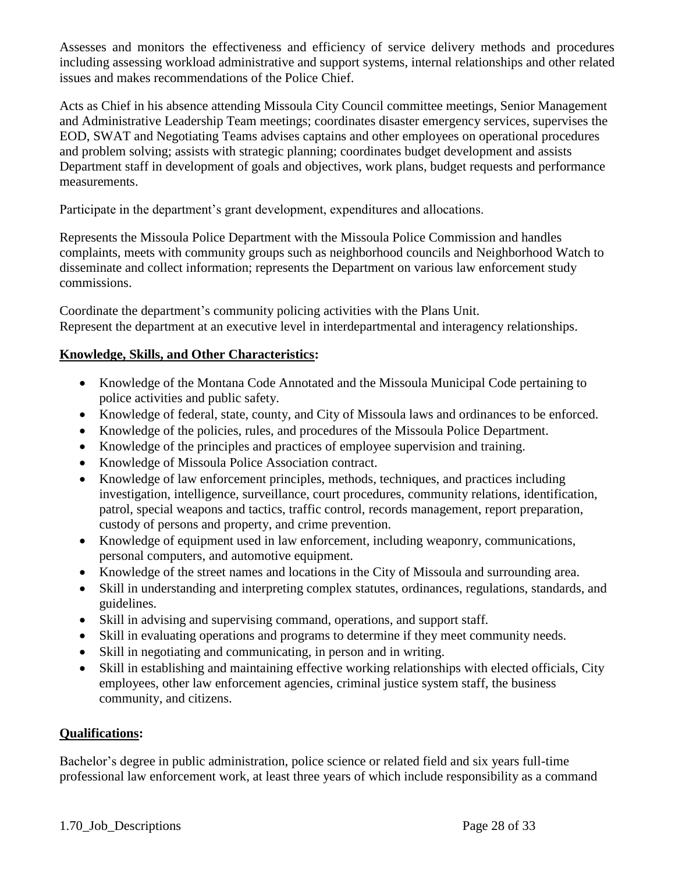Assesses and monitors the effectiveness and efficiency of service delivery methods and procedures including assessing workload administrative and support systems, internal relationships and other related issues and makes recommendations of the Police Chief.

Acts as Chief in his absence attending Missoula City Council committee meetings, Senior Management and Administrative Leadership Team meetings; coordinates disaster emergency services, supervises the EOD, SWAT and Negotiating Teams advises captains and other employees on operational procedures and problem solving; assists with strategic planning; coordinates budget development and assists Department staff in development of goals and objectives, work plans, budget requests and performance measurements.

Participate in the department's grant development, expenditures and allocations.

Represents the Missoula Police Department with the Missoula Police Commission and handles complaints, meets with community groups such as neighborhood councils and Neighborhood Watch to disseminate and collect information; represents the Department on various law enforcement study commissions.

Coordinate the department's community policing activities with the Plans Unit. Represent the department at an executive level in interdepartmental and interagency relationships.

## **Knowledge, Skills, and Other Characteristics:**

- Knowledge of the Montana Code Annotated and the Missoula Municipal Code pertaining to police activities and public safety.
- Knowledge of federal, state, county, and City of Missoula laws and ordinances to be enforced.
- Knowledge of the policies, rules, and procedures of the Missoula Police Department.
- Knowledge of the principles and practices of employee supervision and training.
- Knowledge of Missoula Police Association contract.
- Knowledge of law enforcement principles, methods, techniques, and practices including investigation, intelligence, surveillance, court procedures, community relations, identification, patrol, special weapons and tactics, traffic control, records management, report preparation, custody of persons and property, and crime prevention.
- Knowledge of equipment used in law enforcement, including weaponry, communications, personal computers, and automotive equipment.
- Knowledge of the street names and locations in the City of Missoula and surrounding area.
- Skill in understanding and interpreting complex statutes, ordinances, regulations, standards, and guidelines.
- Skill in advising and supervising command, operations, and support staff.
- Skill in evaluating operations and programs to determine if they meet community needs.
- Skill in negotiating and communicating, in person and in writing.
- Skill in establishing and maintaining effective working relationships with elected officials, City employees, other law enforcement agencies, criminal justice system staff, the business community, and citizens.

#### **Qualifications:**

Bachelor's degree in public administration, police science or related field and six years full-time professional law enforcement work, at least three years of which include responsibility as a command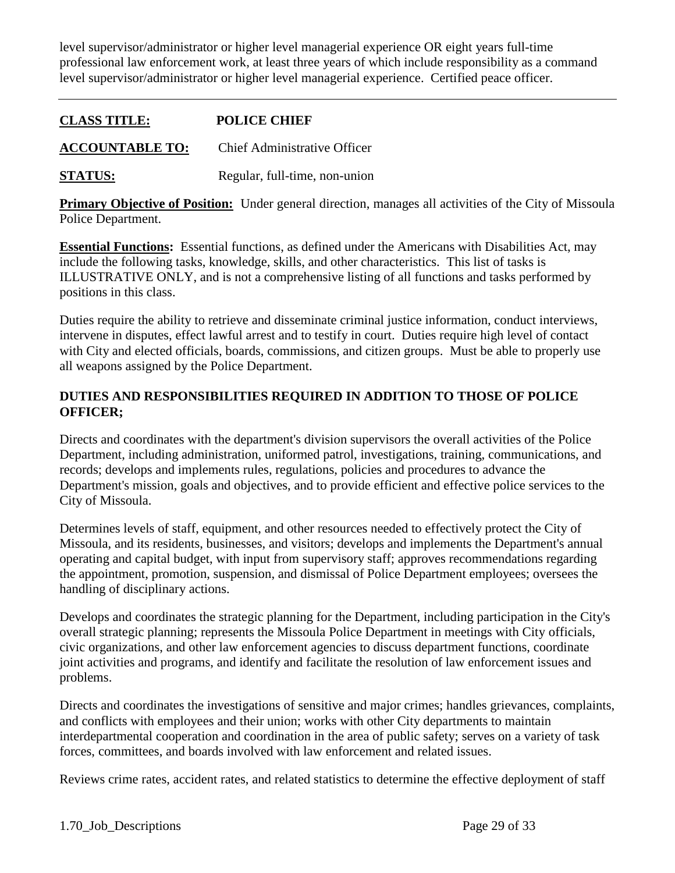level supervisor/administrator or higher level managerial experience OR eight years full-time professional law enforcement work, at least three years of which include responsibility as a command level supervisor/administrator or higher level managerial experience. Certified peace officer.

## **CLASS TITLE: POLICE CHIEF**

**ACCOUNTABLE TO:** Chief Administrative Officer

**STATUS:** Regular, full-time, non-union

**Primary Objective of Position:** Under general direction, manages all activities of the City of Missoula Police Department.

**Essential Functions:** Essential functions, as defined under the Americans with Disabilities Act, may include the following tasks, knowledge, skills, and other characteristics. This list of tasks is ILLUSTRATIVE ONLY, and is not a comprehensive listing of all functions and tasks performed by positions in this class.

Duties require the ability to retrieve and disseminate criminal justice information, conduct interviews, intervene in disputes, effect lawful arrest and to testify in court. Duties require high level of contact with City and elected officials, boards, commissions, and citizen groups. Must be able to properly use all weapons assigned by the Police Department.

## **DUTIES AND RESPONSIBILITIES REQUIRED IN ADDITION TO THOSE OF POLICE OFFICER;**

Directs and coordinates with the department's division supervisors the overall activities of the Police Department, including administration, uniformed patrol, investigations, training, communications, and records; develops and implements rules, regulations, policies and procedures to advance the Department's mission, goals and objectives, and to provide efficient and effective police services to the City of Missoula.

Determines levels of staff, equipment, and other resources needed to effectively protect the City of Missoula, and its residents, businesses, and visitors; develops and implements the Department's annual operating and capital budget, with input from supervisory staff; approves recommendations regarding the appointment, promotion, suspension, and dismissal of Police Department employees; oversees the handling of disciplinary actions.

Develops and coordinates the strategic planning for the Department, including participation in the City's overall strategic planning; represents the Missoula Police Department in meetings with City officials, civic organizations, and other law enforcement agencies to discuss department functions, coordinate joint activities and programs, and identify and facilitate the resolution of law enforcement issues and problems.

Directs and coordinates the investigations of sensitive and major crimes; handles grievances, complaints, and conflicts with employees and their union; works with other City departments to maintain interdepartmental cooperation and coordination in the area of public safety; serves on a variety of task forces, committees, and boards involved with law enforcement and related issues.

Reviews crime rates, accident rates, and related statistics to determine the effective deployment of staff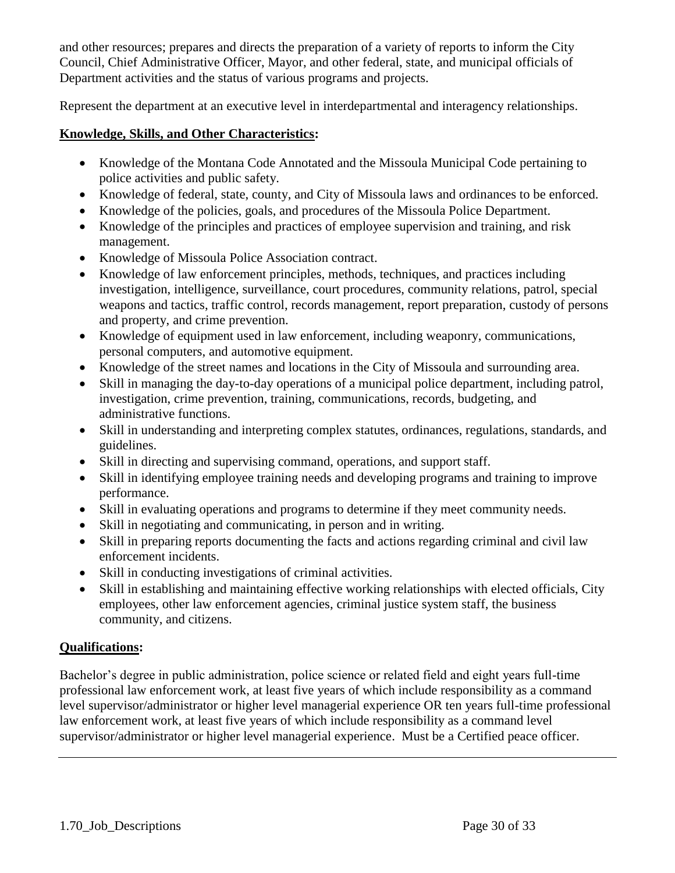and other resources; prepares and directs the preparation of a variety of reports to inform the City Council, Chief Administrative Officer, Mayor, and other federal, state, and municipal officials of Department activities and the status of various programs and projects.

Represent the department at an executive level in interdepartmental and interagency relationships.

## **Knowledge, Skills, and Other Characteristics:**

- Knowledge of the Montana Code Annotated and the Missoula Municipal Code pertaining to police activities and public safety.
- Knowledge of federal, state, county, and City of Missoula laws and ordinances to be enforced.
- Knowledge of the policies, goals, and procedures of the Missoula Police Department.
- Knowledge of the principles and practices of employee supervision and training, and risk management.
- Knowledge of Missoula Police Association contract.
- Knowledge of law enforcement principles, methods, techniques, and practices including investigation, intelligence, surveillance, court procedures, community relations, patrol, special weapons and tactics, traffic control, records management, report preparation, custody of persons and property, and crime prevention.
- Knowledge of equipment used in law enforcement, including weaponry, communications, personal computers, and automotive equipment.
- Knowledge of the street names and locations in the City of Missoula and surrounding area.
- Skill in managing the day-to-day operations of a municipal police department, including patrol, investigation, crime prevention, training, communications, records, budgeting, and administrative functions.
- Skill in understanding and interpreting complex statutes, ordinances, regulations, standards, and guidelines.
- Skill in directing and supervising command, operations, and support staff.
- Skill in identifying employee training needs and developing programs and training to improve performance.
- Skill in evaluating operations and programs to determine if they meet community needs.
- Skill in negotiating and communicating, in person and in writing.
- Skill in preparing reports documenting the facts and actions regarding criminal and civil law enforcement incidents.
- Skill in conducting investigations of criminal activities.
- Skill in establishing and maintaining effective working relationships with elected officials, City employees, other law enforcement agencies, criminal justice system staff, the business community, and citizens.

## **Qualifications:**

Bachelor's degree in public administration, police science or related field and eight years full-time professional law enforcement work, at least five years of which include responsibility as a command level supervisor/administrator or higher level managerial experience OR ten years full-time professional law enforcement work, at least five years of which include responsibility as a command level supervisor/administrator or higher level managerial experience. Must be a Certified peace officer.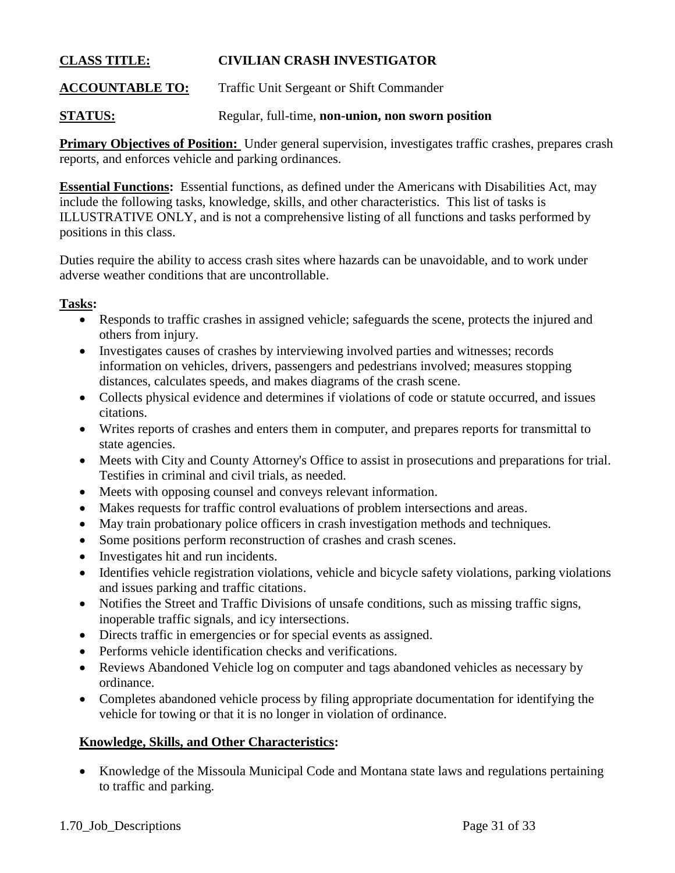## **CLASS TITLE: CIVILIAN CRASH INVESTIGATOR**

**ACCOUNTABLE TO:** Traffic Unit Sergeant or Shift Commander

**STATUS:** Regular, full-time, **non-union, non sworn position**

**Primary Objectives of Position:** Under general supervision, investigates traffic crashes, prepares crash reports, and enforces vehicle and parking ordinances.

**Essential Functions:** Essential functions, as defined under the Americans with Disabilities Act, may include the following tasks, knowledge, skills, and other characteristics. This list of tasks is ILLUSTRATIVE ONLY, and is not a comprehensive listing of all functions and tasks performed by positions in this class.

Duties require the ability to access crash sites where hazards can be unavoidable, and to work under adverse weather conditions that are uncontrollable.

#### **Tasks:**

- Responds to traffic crashes in assigned vehicle; safeguards the scene, protects the injured and others from injury.
- Investigates causes of crashes by interviewing involved parties and witnesses; records information on vehicles, drivers, passengers and pedestrians involved; measures stopping distances, calculates speeds, and makes diagrams of the crash scene.
- Collects physical evidence and determines if violations of code or statute occurred, and issues citations.
- Writes reports of crashes and enters them in computer, and prepares reports for transmittal to state agencies.
- Meets with City and County Attorney's Office to assist in prosecutions and preparations for trial. Testifies in criminal and civil trials, as needed.
- Meets with opposing counsel and conveys relevant information.
- Makes requests for traffic control evaluations of problem intersections and areas.
- May train probationary police officers in crash investigation methods and techniques.
- Some positions perform reconstruction of crashes and crash scenes.
- Investigates hit and run incidents.
- Identifies vehicle registration violations, vehicle and bicycle safety violations, parking violations and issues parking and traffic citations.
- Notifies the Street and Traffic Divisions of unsafe conditions, such as missing traffic signs, inoperable traffic signals, and icy intersections.
- Directs traffic in emergencies or for special events as assigned.
- Performs vehicle identification checks and verifications.
- Reviews Abandoned Vehicle log on computer and tags abandoned vehicles as necessary by ordinance.
- Completes abandoned vehicle process by filing appropriate documentation for identifying the vehicle for towing or that it is no longer in violation of ordinance.

#### **Knowledge, Skills, and Other Characteristics:**

• Knowledge of the Missoula Municipal Code and Montana state laws and regulations pertaining to traffic and parking.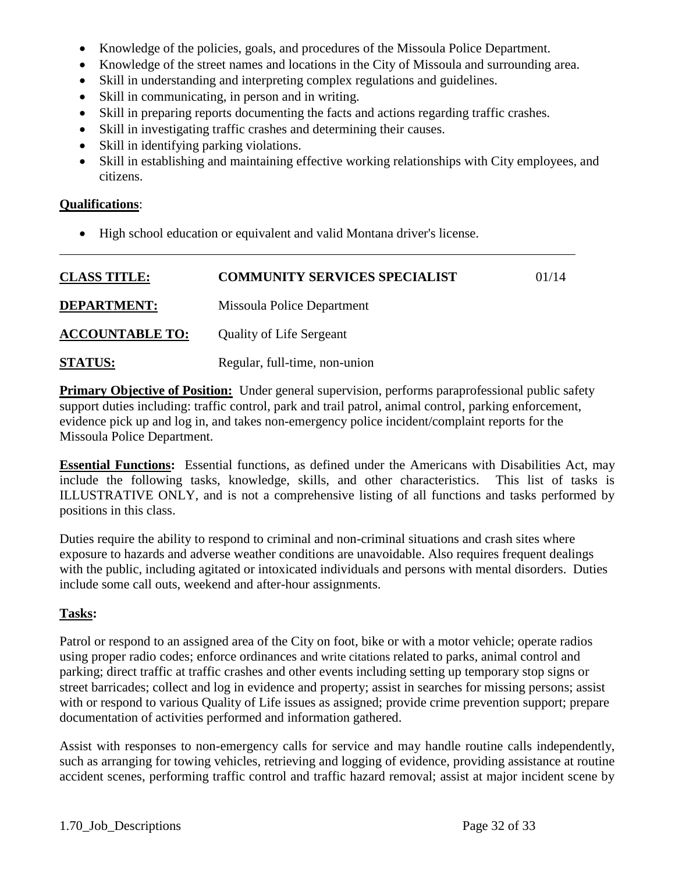- Knowledge of the policies, goals, and procedures of the Missoula Police Department.
- Knowledge of the street names and locations in the City of Missoula and surrounding area.
- Skill in understanding and interpreting complex regulations and guidelines.
- Skill in communicating, in person and in writing.
- Skill in preparing reports documenting the facts and actions regarding traffic crashes.
- Skill in investigating traffic crashes and determining their causes.
- Skill in identifying parking violations.
- Skill in establishing and maintaining effective working relationships with City employees, and citizens.

## **Qualifications**:

High school education or equivalent and valid Montana driver's license.

| <b>CLASS TITLE:</b>    | <b>COMMUNITY SERVICES SPECIALIST</b> | 01/14 |
|------------------------|--------------------------------------|-------|
| <b>DEPARTMENT:</b>     | Missoula Police Department           |       |
| <b>ACCOUNTABLE TO:</b> | <b>Quality of Life Sergeant</b>      |       |
| <b>STATUS:</b>         | Regular, full-time, non-union        |       |

**Primary Objective of Position:** Under general supervision, performs paraprofessional public safety support duties including: traffic control, park and trail patrol, animal control, parking enforcement, evidence pick up and log in, and takes non-emergency police incident/complaint reports for the Missoula Police Department.

**Essential Functions:** Essential functions, as defined under the Americans with Disabilities Act, may include the following tasks, knowledge, skills, and other characteristics. This list of tasks is ILLUSTRATIVE ONLY, and is not a comprehensive listing of all functions and tasks performed by positions in this class.

Duties require the ability to respond to criminal and non-criminal situations and crash sites where exposure to hazards and adverse weather conditions are unavoidable. Also requires frequent dealings with the public, including agitated or intoxicated individuals and persons with mental disorders. Duties include some call outs, weekend and after-hour assignments.

## **Tasks:**

Patrol or respond to an assigned area of the City on foot, bike or with a motor vehicle; operate radios using proper radio codes; enforce ordinances and write citations related to parks, animal control and parking; direct traffic at traffic crashes and other events including setting up temporary stop signs or street barricades; collect and log in evidence and property; assist in searches for missing persons; assist with or respond to various Quality of Life issues as assigned; provide crime prevention support; prepare documentation of activities performed and information gathered.

Assist with responses to non-emergency calls for service and may handle routine calls independently, such as arranging for towing vehicles, retrieving and logging of evidence, providing assistance at routine accident scenes, performing traffic control and traffic hazard removal; assist at major incident scene by